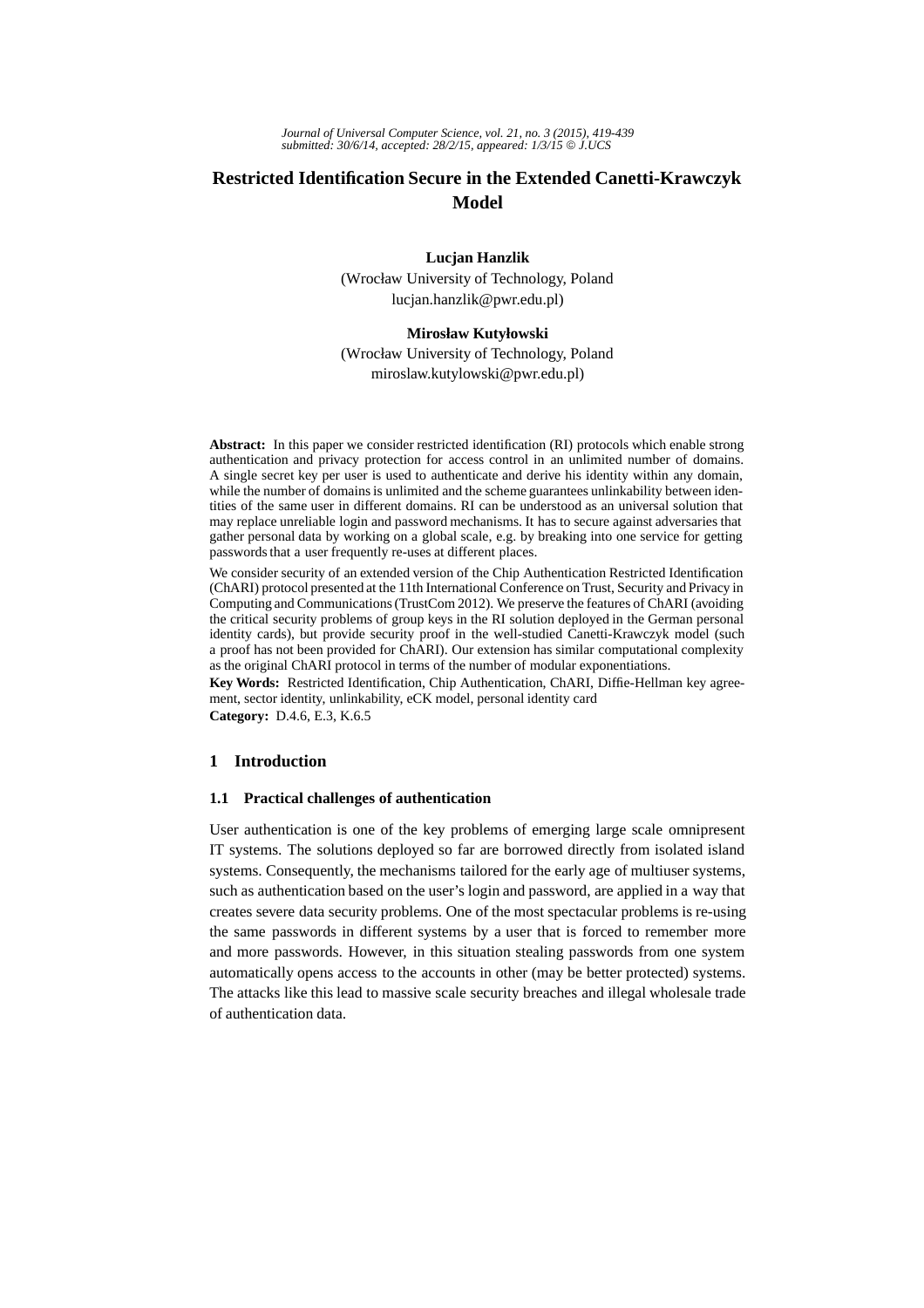# **Restricted Identification Secure in the Extended Canetti-Krawczyk Model**

# **Lucjan Hanzlik**

(Wrocław University of Technology, Poland lucjan.hanzlik@pwr.edu.pl)

# **Mirosław Kutyłowski**

(Wrocław University of Technology, Poland miroslaw.kutylowski@pwr.edu.pl)

**Abstract:** In this paper we consider restricted identification (RI) protocols which enable strong authentication and privacy protection for access control in an unlimited number of domains. A single secret key per user is used to authenticate and derive his identity within any domain, while the number of domains is unlimited and the scheme guarantees unlinkability between identities of the same user in different domains. RI can be understood as an universal solution that may replace unreliable login and password mechanisms. It has to secure against adversaries that gather personal data by working on a global scale, e.g. by breaking into one service for getting passwords that a user frequently re-uses at different places.

We consider security of an extended version of the Chip Authentication Restricted Identification (ChARI) protocol presented at the 11th International Conference on Trust, Security and Privacy in Computing and Communications (TrustCom 2012). We preserve the features of ChARI (avoiding the critical security problems of group keys in the RI solution deployed in the German personal identity cards), but provide security proof in the well-studied Canetti-Krawczyk model (such a proof has not been provided for ChARI). Our extension has similar computational complexity as the original ChARI protocol in terms of the number of modular exponentiations.

**Key Words:** Restricted Identification, Chip Authentication, ChARI, Diffie-Hellman key agreement, sector identity, unlinkability, eCK model, personal identity card

**Category:** D.4.6, E.3, K.6.5

# **1 Introduction**

### **1.1 Practical challenges of authentication**

User authentication is one of the key problems of emerging large scale omnipresent IT systems. The solutions deployed so far are borrowed directly from isolated island systems. Consequently, the mechanisms tailored for the early age of multiuser systems, such as authentication based on the user's login and password, are applied in a way that creates severe data security problems. One of the most spectacular problems is re-using the same passwords in different systems by a user that is forced to remember more and more passwords. However, in this situation stealing passwords from one system automatically opens access to the accounts in other (may be better protected) systems. The attacks like this lead to massive scale security breaches and illegal wholesale trade of authentication data.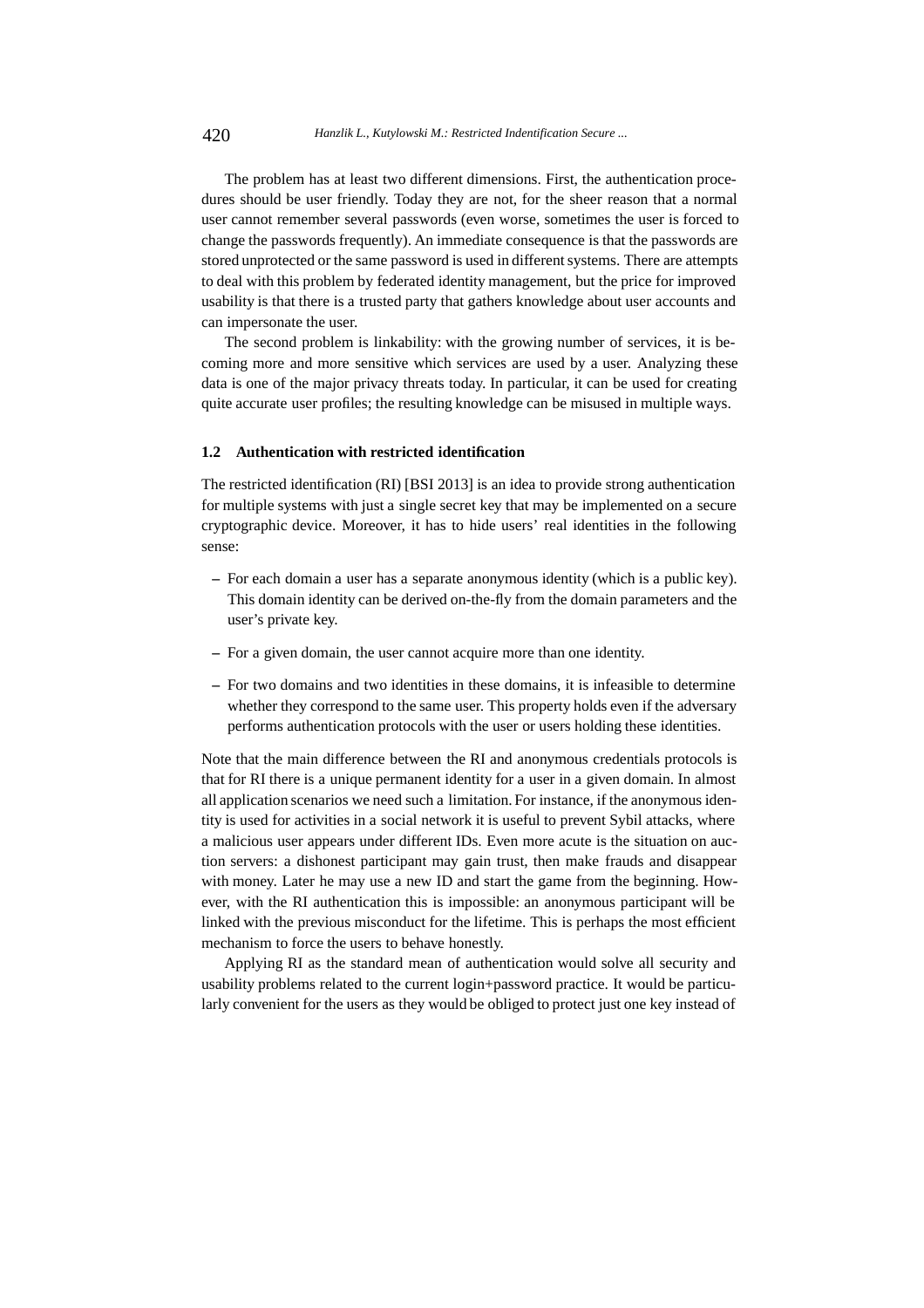The problem has at least two different dimensions. First, the authentication procedures should be user friendly. Today they are not, for the sheer reason that a normal user cannot remember several passwords (even worse, sometimes the user is forced to change the passwords frequently). An immediate consequence is that the passwords are stored unprotected or the same password is used in different systems. There are attempts to deal with this problem by federated identity management, but the price for improved usability is that there is a trusted party that gathers knowledge about user accounts and can impersonate the user.

The second problem is linkability: with the growing number of services, it is becoming more and more sensitive which services are used by a user. Analyzing these data is one of the major privacy threats today. In particular, it can be used for creating quite accurate user profiles; the resulting knowledge can be misused in multiple ways.

#### **1.2 Authentication with restricted identification**

The restricted identification (RI) [BSI 2013] is an idea to provide strong authentication for multiple systems with just a single secret key that may be implemented on a secure cryptographic device. Moreover, it has to hide users' real identities in the following sense:

- **–** For each domain a user has a separate anonymous identity (which is a public key). This domain identity can be derived on-the-fly from the domain parameters and the user's private key.
- **–** For a given domain, the user cannot acquire more than one identity.
- **–** For two domains and two identities in these domains, it is infeasible to determine whether they correspond to the same user. This property holds even if the adversary performs authentication protocols with the user or users holding these identities.

Note that the main difference between the RI and anonymous credentials protocols is that for RI there is a unique permanent identity for a user in a given domain. In almost all application scenarios we need such a limitation. For instance, if the anonymous identity is used for activities in a social network it is useful to prevent Sybil attacks, where a malicious user appears under different IDs. Even more acute is the situation on auction servers: a dishonest participant may gain trust, then make frauds and disappear with money. Later he may use a new ID and start the game from the beginning. However, with the RI authentication this is impossible: an anonymous participant will be linked with the previous misconduct for the lifetime. This is perhaps the most efficient mechanism to force the users to behave honestly.

Applying RI as the standard mean of authentication would solve all security and usability problems related to the current login+password practice. It would be particularly convenient for the users as they would be obliged to protect just one key instead of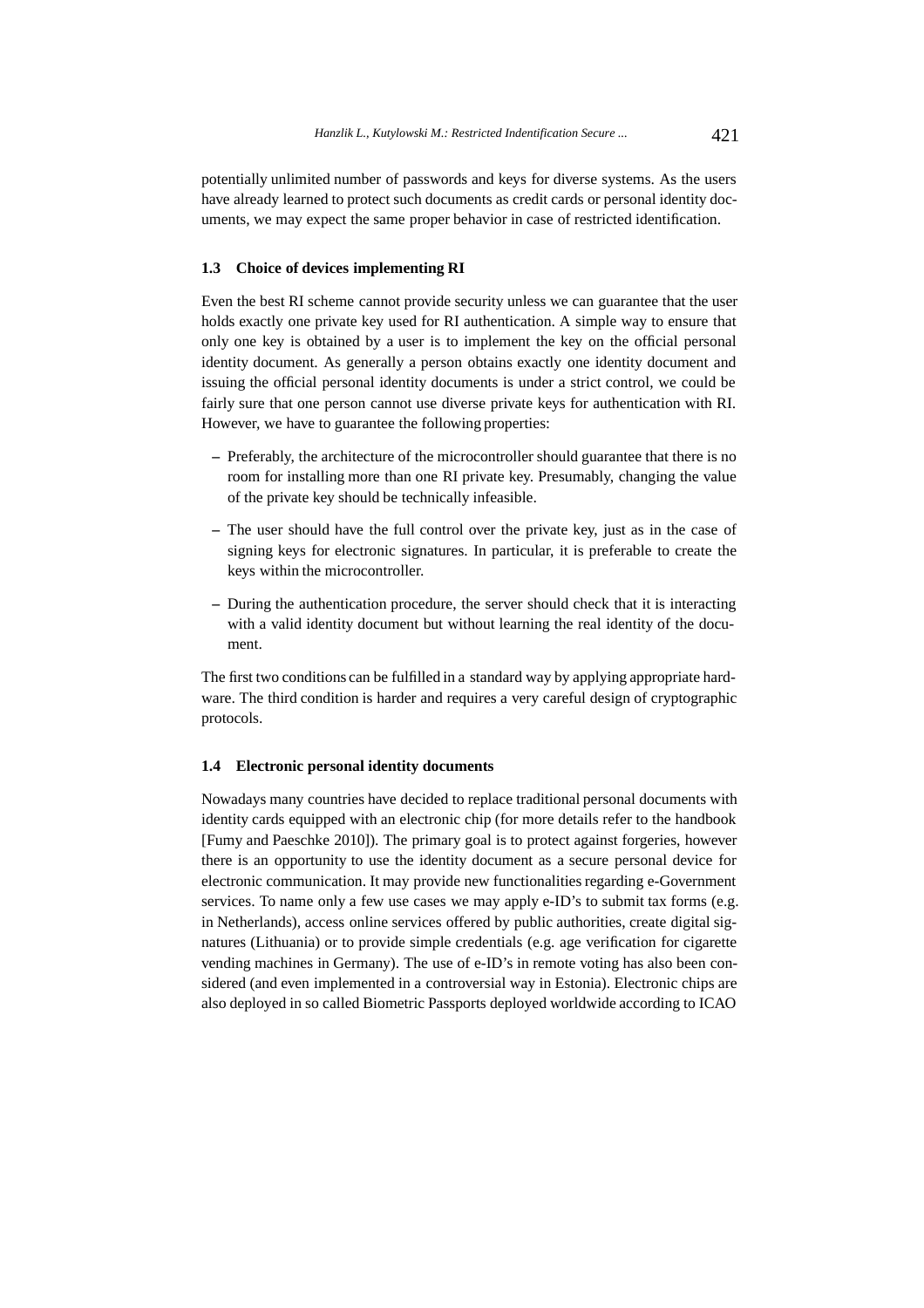potentially unlimited number of passwords and keys for diverse systems. As the users have already learned to protect such documents as credit cards or personal identity documents, we may expect the same proper behavior in case of restricted identification.

# **1.3 Choice of devices implementing RI**

Even the best RI scheme cannot provide security unless we can guarantee that the user holds exactly one private key used for RI authentication. A simple way to ensure that only one key is obtained by a user is to implement the key on the official personal identity document. As generally a person obtains exactly one identity document and issuing the official personal identity documents is under a strict control, we could be fairly sure that one person cannot use diverse private keys for authentication with RI. However, we have to guarantee the following properties:

- **–** Preferably, the architecture of the microcontroller should guarantee that there is no room for installing more than one RI private key. Presumably, changing the value of the private key should be technically infeasible.
- **–** The user should have the full control over the private key, just as in the case of signing keys for electronic signatures. In particular, it is preferable to create the keys within the microcontroller.
- **–** During the authentication procedure, the server should check that it is interacting with a valid identity document but without learning the real identity of the document.

The first two conditions can be fulfilled in a standard way by applying appropriate hardware. The third condition is harder and requires a very careful design of cryptographic protocols.

#### **1.4 Electronic personal identity documents**

Nowadays many countries have decided to replace traditional personal documents with identity cards equipped with an electronic chip (for more details refer to the handbook [Fumy and Paeschke 2010]). The primary goal is to protect against forgeries, however there is an opportunity to use the identity document as a secure personal device for electronic communication. It may provide new functionalities regarding e-Government services. To name only a few use cases we may apply e-ID's to submit tax forms (e.g. in Netherlands), access online services offered by public authorities, create digital signatures (Lithuania) or to provide simple credentials (e.g. age verification for cigarette vending machines in Germany). The use of e-ID's in remote voting has also been considered (and even implemented in a controversial way in Estonia). Electronic chips are also deployed in so called Biometric Passports deployed worldwide according to ICAO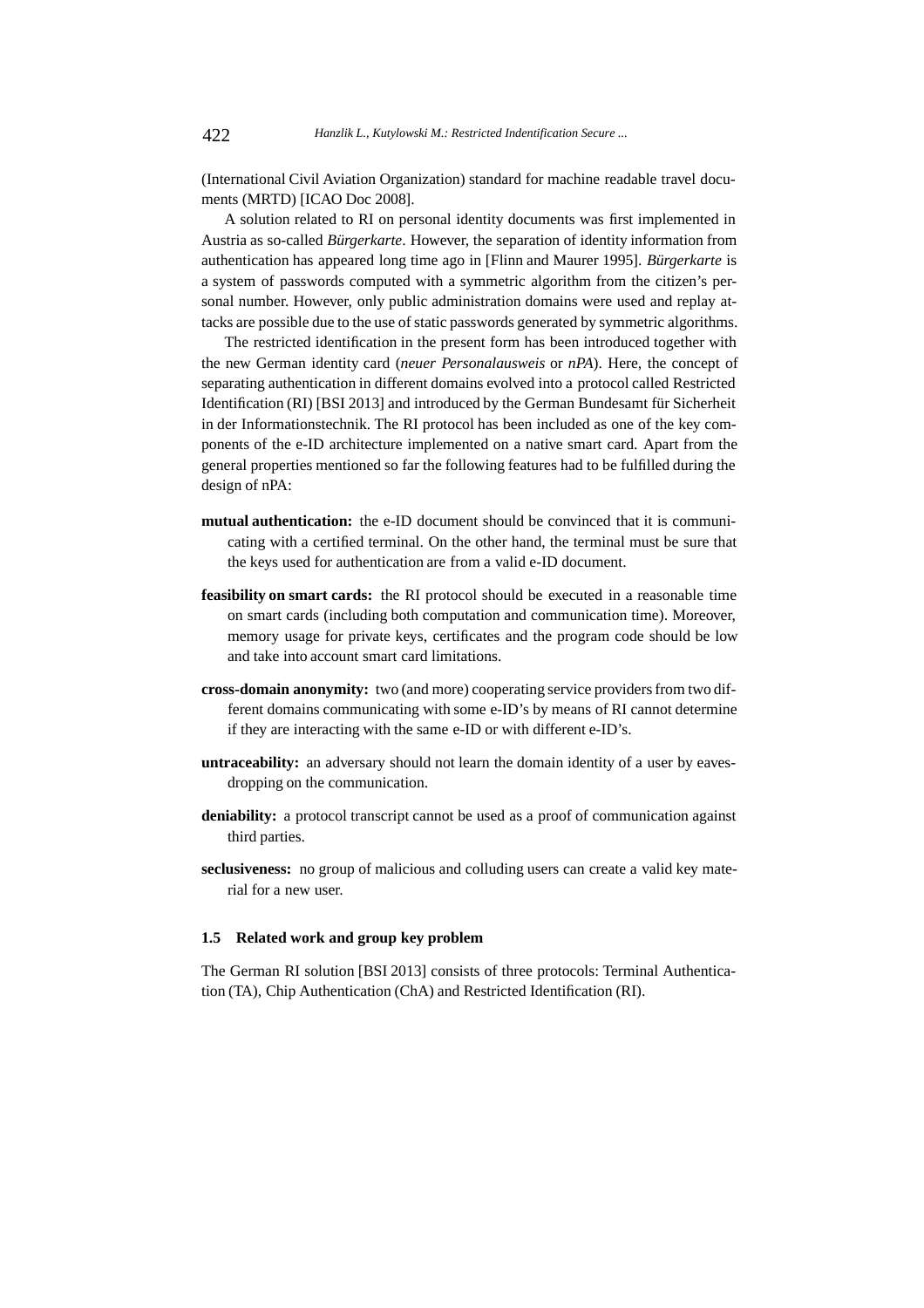(International Civil Aviation Organization) standard for machine readable travel documents (MRTD) [ICAO Doc 2008].

A solution related to RI on personal identity documents was first implemented in Austria as so-called *Bürgerkarte*. However, the separation of identity information from authentication has appeared long time ago in [Flinn and Maurer 1995]. *Bürgerkarte* is a system of passwords computed with a symmetric algorithm from the citizen's personal number. However, only public administration domains were used and replay attacks are possible due to the use of static passwords generated by symmetric algorithms.

The restricted identification in the present form has been introduced together with the new German identity card (*neuer Personalausweis* or *nPA*). Here, the concept of separating authentication in different domains evolved into a protocol called Restricted Identification (RI) [BSI 2013] and introduced by the German Bundesamt für Sicherheit in der Informationstechnik. The RI protocol has been included as one of the key components of the e-ID architecture implemented on a native smart card. Apart from the general properties mentioned so far the following features had to be fulfilled during the design of nPA:

- **mutual authentication:** the e-ID document should be convinced that it is communicating with a certified terminal. On the other hand, the terminal must be sure that the keys used for authentication are from a valid e-ID document.
- **feasibility on smart cards:** the RI protocol should be executed in a reasonable time on smart cards (including both computation and communication time). Moreover, memory usage for private keys, certificates and the program code should be low and take into account smart card limitations.
- **cross-domain anonymity:** two (and more) cooperating service providers from two different domains communicating with some e-ID's by means of RI cannot determine if they are interacting with the same e-ID or with different e-ID's.
- **untraceability:** an adversary should not learn the domain identity of a user by eavesdropping on the communication.
- **deniability:** a protocol transcript cannot be used as a proof of communication against third parties.
- **seclusiveness:** no group of malicious and colluding users can create a valid key material for a new user.

#### **1.5 Related work and group key problem**

The German RI solution [BSI 2013] consists of three protocols: Terminal Authentication (TA), Chip Authentication (ChA) and Restricted Identification (RI).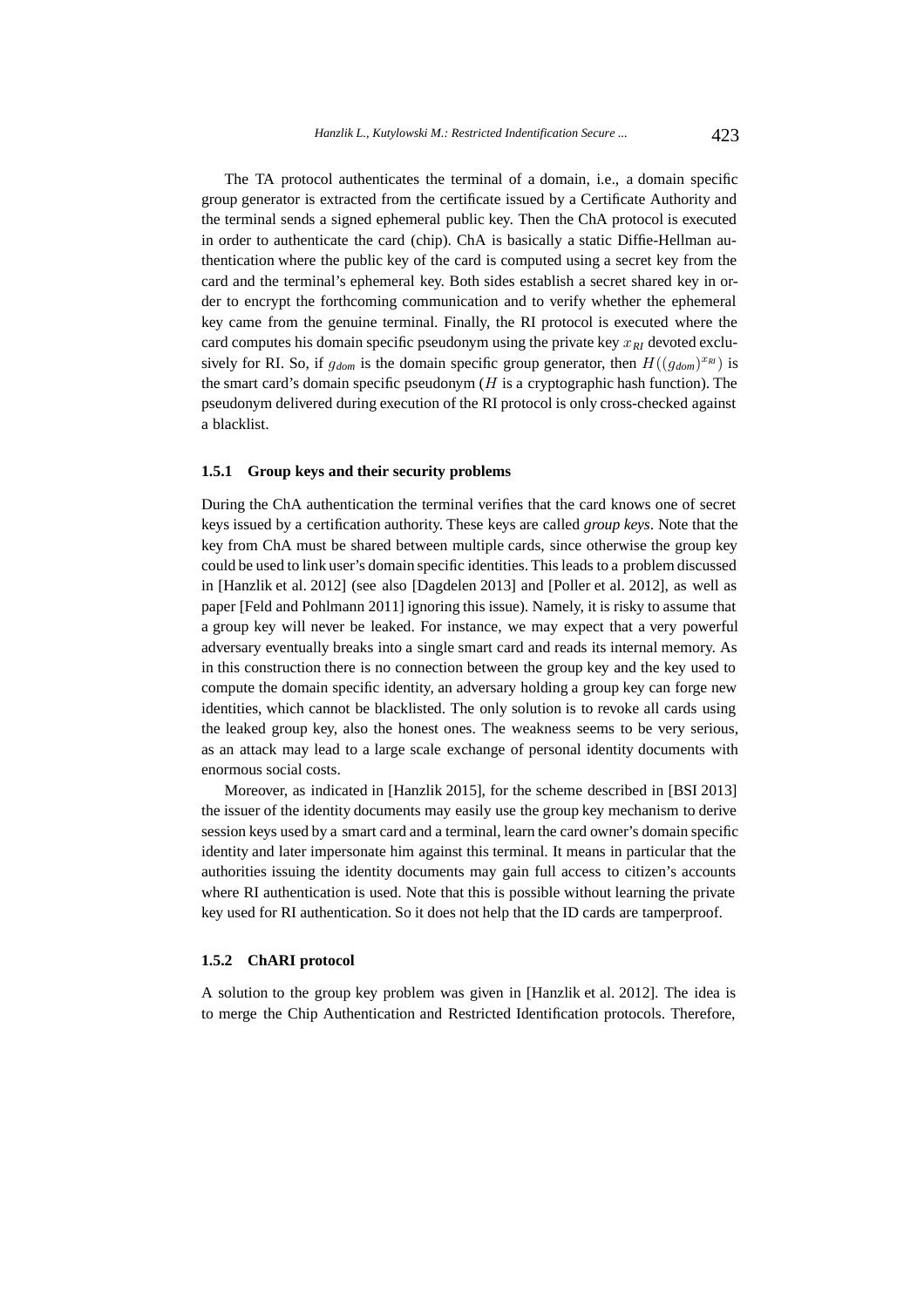The TA protocol authenticates the terminal of a domain, i.e., a domain specific group generator is extracted from the certificate issued by a Certificate Authority and the terminal sends a signed ephemeral public key. Then the ChA protocol is executed in order to authenticate the card (chip). ChA is basically a static Diffie-Hellman authentication where the public key of the card is computed using a secret key from the card and the terminal's ephemeral key. Both sides establish a secret shared key in order to encrypt the forthcoming communication and to verify whether the ephemeral key came from the genuine terminal. Finally, the RI protocol is executed where the card computes his domain specific pseudonym using the private key  $x_{RI}$  devoted exclusively for RI. So, if  $g_{dom}$  is the domain specific group generator, then  $H((g_{dom})^{x_{RI}})$  is the smart card's domain specific pseudonym  $(H$  is a cryptographic hash function). The pseudonym delivered during execution of the RI protocol is only cross-checked against a blacklist.

# **1.5.1 Group keys and their security problems**

During the ChA authentication the terminal verifies that the card knows one of secret keys issued by a certification authority. These keys are called *group keys*. Note that the key from ChA must be shared between multiple cards, since otherwise the group key could be used to link user's domain specific identities. This leads to a problem discussed in [Hanzlik et al. 2012] (see also [Dagdelen 2013] and [Poller et al. 2012], as well as paper [Feld and Pohlmann 2011] ignoring this issue). Namely, it is risky to assume that a group key will never be leaked. For instance, we may expect that a very powerful adversary eventually breaks into a single smart card and reads its internal memory. As in this construction there is no connection between the group key and the key used to compute the domain specific identity, an adversary holding a group key can forge new identities, which cannot be blacklisted. The only solution is to revoke all cards using the leaked group key, also the honest ones. The weakness seems to be very serious, as an attack may lead to a large scale exchange of personal identity documents with enormous social costs.

Moreover, as indicated in [Hanzlik 2015], for the scheme described in [BSI 2013] the issuer of the identity documents may easily use the group key mechanism to derive session keys used by a smart card and a terminal, learn the card owner's domain specific identity and later impersonate him against this terminal. It means in particular that the authorities issuing the identity documents may gain full access to citizen's accounts where RI authentication is used. Note that this is possible without learning the private key used for RI authentication. So it does not help that the ID cards are tamperproof.

# **1.5.2 ChARI protocol**

A solution to the group key problem was given in [Hanzlik et al. 2012]. The idea is to merge the Chip Authentication and Restricted Identification protocols. Therefore,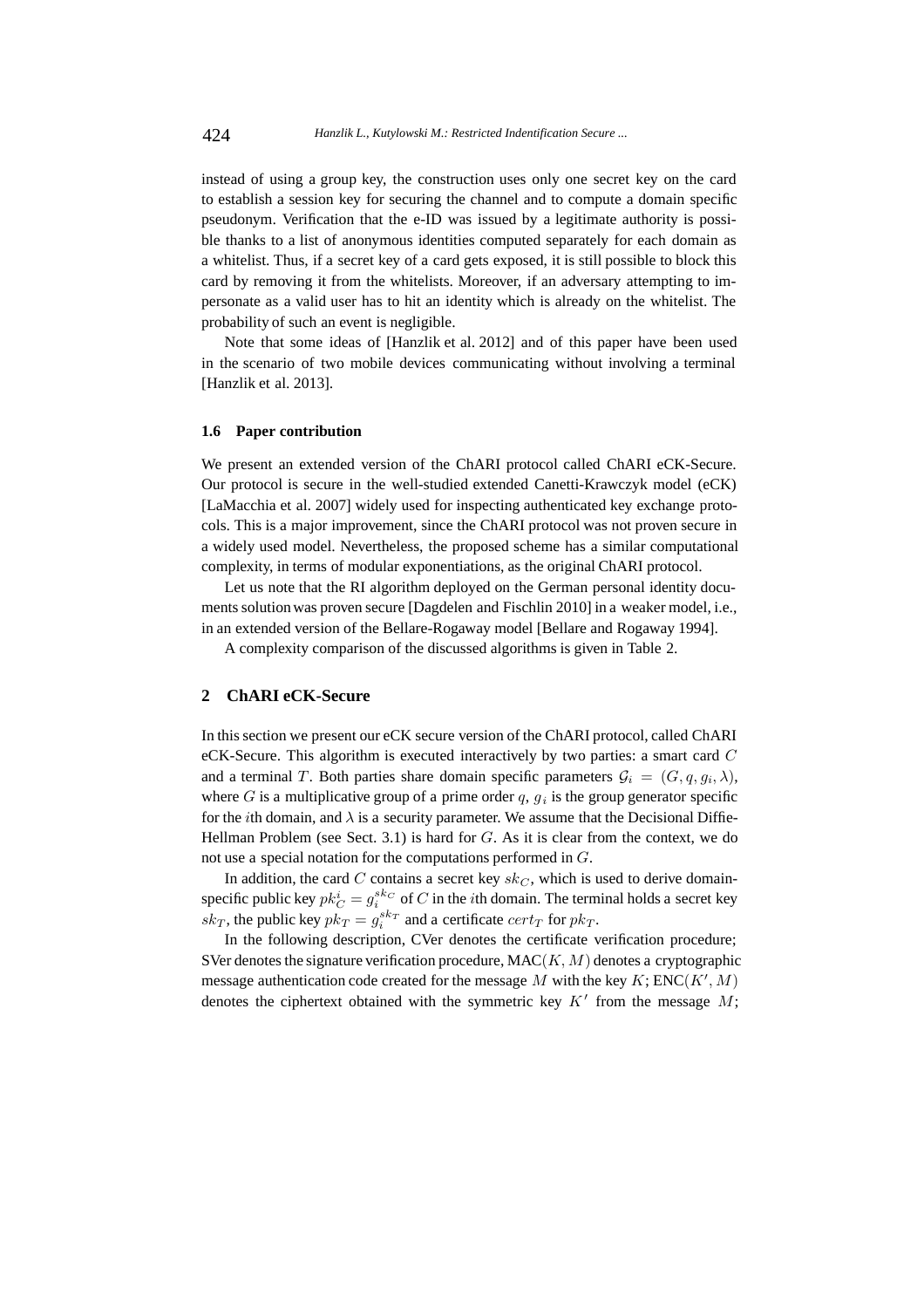instead of using a group key, the construction uses only one secret key on the card to establish a session key for securing the channel and to compute a domain specific pseudonym. Verification that the e-ID was issued by a legitimate authority is possible thanks to a list of anonymous identities computed separately for each domain as a whitelist. Thus, if a secret key of a card gets exposed, it is still possible to block this card by removing it from the whitelists. Moreover, if an adversary attempting to impersonate as a valid user has to hit an identity which is already on the whitelist. The probability of such an event is negligible.

Note that some ideas of [Hanzlik et al. 2012] and of this paper have been used in the scenario of two mobile devices communicating without involving a terminal [Hanzlik et al. 2013].

# **1.6 Paper contribution**

We present an extended version of the ChARI protocol called ChARI eCK-Secure. Our protocol is secure in the well-studied extended Canetti-Krawczyk model (eCK) [LaMacchia et al. 2007] widely used for inspecting authenticated key exchange protocols. This is a major improvement, since the ChARI protocol was not proven secure in a widely used model. Nevertheless, the proposed scheme has a similar computational complexity, in terms of modular exponentiations, as the original ChARI protocol.

Let us note that the RI algorithm deployed on the German personal identity documents solutionwas proven secure [Dagdelen and Fischlin 2010] in a weaker model, i.e., in an extended version of the Bellare-Rogaway model [Bellare and Rogaway 1994].

A complexity comparison of the discussed algorithms is given in Table 2.

#### **2 ChARI eCK-Secure**

In this section we present our eCK secure version of the ChARI protocol, called ChARI eCK-Secure. This algorithm is executed interactively by two parties: a smart card C and a terminal T. Both parties share domain specific parameters  $\mathcal{G}_i = (G, q, q_i, \lambda)$ , where G is a multiplicative group of a prime order q,  $g_i$  is the group generator specific for the *i*th domain, and  $\lambda$  is a security parameter. We assume that the Decisional Diffie-Hellman Problem (see Sect. 3.1) is hard for  $G$ . As it is clear from the context, we do not use a special notation for the computations performed in G.

In addition, the card C contains a secret key  $sk_C$ , which is used to derive domainspecific public key  $pk_C^i = g_i^{sk_C}$  of C in the *i*th domain. The terminal holds a secret key  $sk_T$ , the public key  $pk_T = g_i^{sk_T}$  and a certificate  $cert_T$  for  $pk_T$ .

In the following description, CVer denotes the certificate verification procedure; SVer denotes the signature verification procedure,  $MAC(K, M)$  denotes a cryptographic message authentication code created for the message M with the key  $K$ ; ENC( $K', M$ ) denotes the ciphertext obtained with the symmetric key  $K'$  from the message  $M$ ;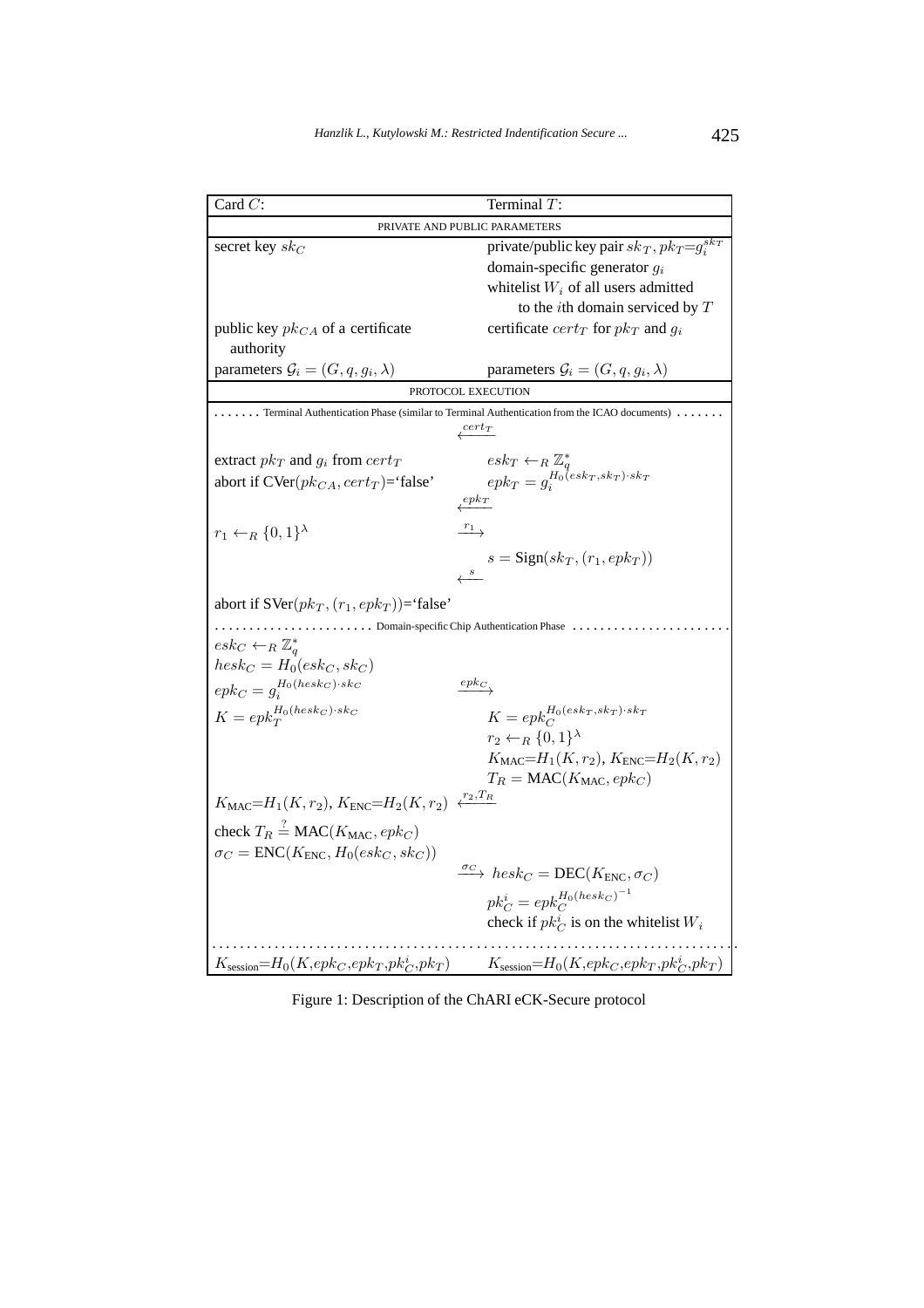| Card $C$ :                                                    | Terminal $T$ :                                                                                                |  |  |
|---------------------------------------------------------------|---------------------------------------------------------------------------------------------------------------|--|--|
| PRIVATE AND PUBLIC PARAMETERS                                 |                                                                                                               |  |  |
| secret key $sk_C$                                             | private/public key pair $sk_T$ , $pk_T = g_i^{sk_T}$                                                          |  |  |
|                                                               | domain-specific generator $g_i$                                                                               |  |  |
|                                                               | whitelist $W_i$ of all users admitted                                                                         |  |  |
|                                                               | to the <i>i</i> th domain serviced by $T$                                                                     |  |  |
| public key $pk_{CA}$ of a certificate                         | certificate $cert_T$ for $pk_T$ and $g_i$                                                                     |  |  |
| authority                                                     |                                                                                                               |  |  |
| parameters $\mathcal{G}_i = (G, q, g_i, \lambda)$             | parameters $\mathcal{G}_i = (G, q, g_i, \lambda)$                                                             |  |  |
| PROTOCOL EXECUTION                                            |                                                                                                               |  |  |
|                                                               | Terminal Authentication Phase (similar to Terminal Authentication from the ICAO documents).                   |  |  |
|                                                               | $\sqrt{cert_T}$                                                                                               |  |  |
| extract $pk_T$ and $g_i$ from $cert_T$                        |                                                                                                               |  |  |
| abort if $\text{CVer}(pk_{CA}, cert_T)$ ='false'              | $\begin{array}{l} esk_T \leftarrow_R \mathbb{Z}_q^* \\ epk_T = g_i^{H_0(esk_T, sk_T) \cdot sk_T} \end{array}$ |  |  |
| $e p k_T$                                                     |                                                                                                               |  |  |
|                                                               | $r_1$                                                                                                         |  |  |
| $r_1 \leftarrow_R \{0,1\}^{\lambda}$                          |                                                                                                               |  |  |
|                                                               | $s = \text{Sign}(sk_T, (r_1, epk_T))$                                                                         |  |  |
|                                                               | $\boldsymbol{s}$                                                                                              |  |  |
| abort if $SVer(pk_T, (r_1, epk_T))$ ='false'                  |                                                                                                               |  |  |
| Domain-specific Chip Authentication Phase                     |                                                                                                               |  |  |
| $\operatorname{esk}_C \leftarrow_R \mathbb{Z}_a^*$            |                                                                                                               |  |  |
| $hesk_C = H_0(esk_C, sk_C)$                                   |                                                                                                               |  |  |
| $epk_C = g_i^{H_0(hesk_C) \cdot sk_C}$                        | $epk_C$                                                                                                       |  |  |
| $K=epk_T^{H_0(hesk_C)\cdot sk_C}$                             | $K=epk_C^{H_0(esk_T, sk_T)\cdot sk_T}$                                                                        |  |  |
|                                                               | $r_2 \leftarrow_R \{0,1\}^{\lambda}$                                                                          |  |  |
|                                                               | $K_{\text{MAC}} = H_1(K, r_2), K_{\text{ENC}} = H_2(K, r_2)$                                                  |  |  |
|                                                               | $T_R = \text{MAC}(K_{\text{MAC}}, epk_C)$                                                                     |  |  |
|                                                               | $\xleftarrow{r_2,T_R}$                                                                                        |  |  |
| $K_{\text{MAC}} = H_1(K, r_2), K_{\text{ENC}} = H_2(K, r_2)$  |                                                                                                               |  |  |
| check $T_R \stackrel{?}{=} \text{MAC}(K_{\text{MAC}}, epk_C)$ |                                                                                                               |  |  |
| $\sigma_C = \text{ENC}(K_{\text{ENC}}, H_0(esk_C, sk_C))$     |                                                                                                               |  |  |
|                                                               | $\longrightarrow$ hesk <sub>C</sub> = DEC(K <sub>ENC</sub> , $\sigma_C$ )                                     |  |  |
|                                                               | $pk_C^i = epk_C^{H_0(hesk_C)^{-1}}$                                                                           |  |  |
|                                                               | check if $pk_C^i$ is on the whitelist $W_i$                                                                   |  |  |
|                                                               |                                                                                                               |  |  |
| $K_{\text{session}}=H_0(K, epk_C, epk_T, pk_C^i, pk_T)$       | $K_{\text{session}}=H_0(K, epk_C, epk_T, pk_C^i, pk_T)$                                                       |  |  |

Figure 1: Description of the ChARI eCK-Secure protocol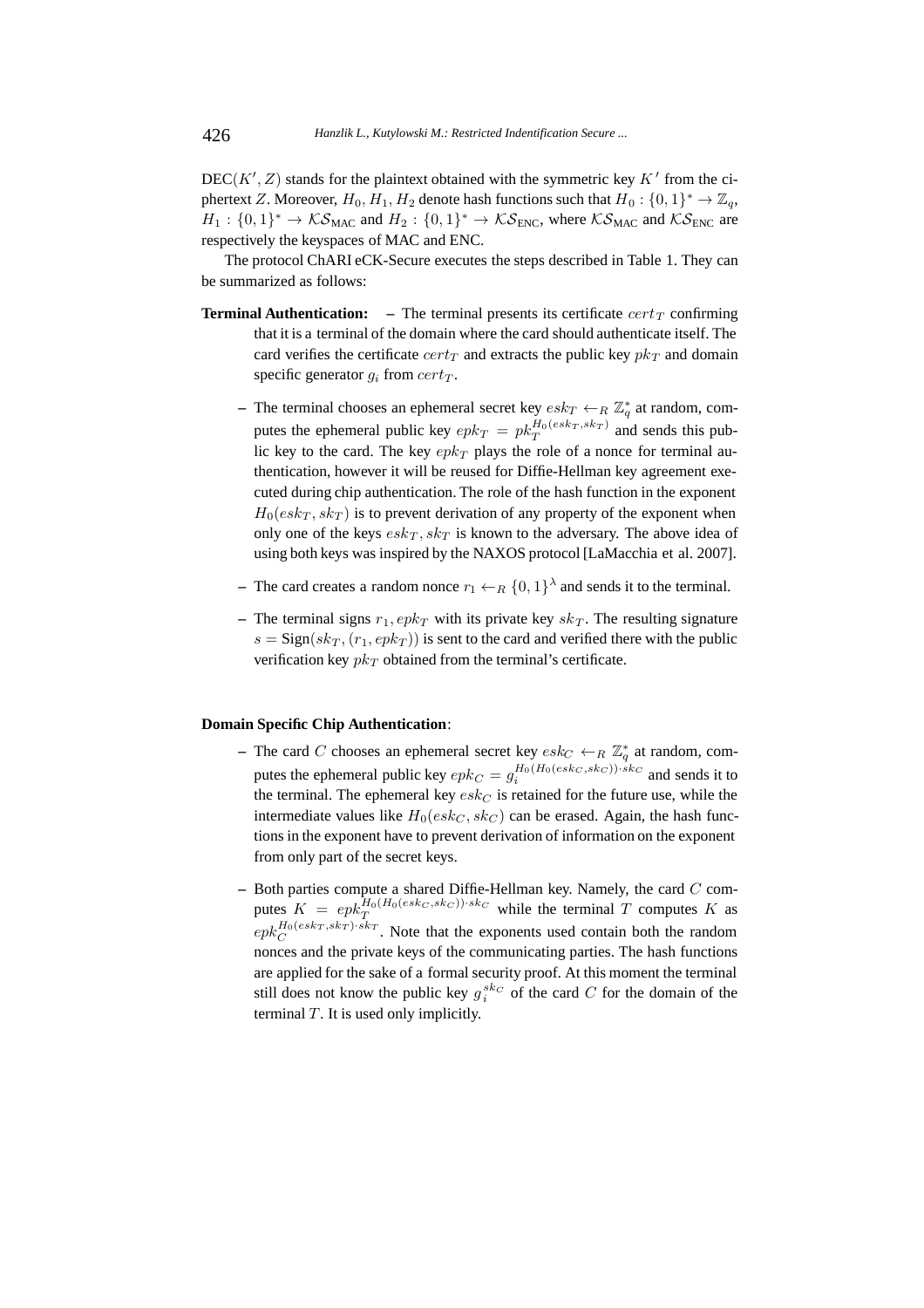$DEC(K', Z)$  stands for the plaintext obtained with the symmetric key  $K'$  from the ciphertext Z. Moreover,  $H_0, H_1, H_2$  denote hash functions such that  $H_0: \{0, 1\}^* \to \mathbb{Z}_q$ ,  $H_1: \{0,1\}^* \to \mathcal{KS}_{\text{MAC}}$  and  $H_2: \{0,1\}^* \to \mathcal{KS}_{\text{ENC}}$ , where  $\mathcal{KS}_{\text{MAC}}$  and  $\mathcal{KS}_{\text{ENC}}$  are respectively the keyspaces of MAC and ENC.

The protocol ChARI eCK-Secure executes the steps described in Table 1. They can be summarized as follows:

- **Terminal Authentication:** The terminal presents its certificate  $cert<sub>T</sub>$  confirming that it is a terminal of the domain where the card should authenticate itself. The card verifies the certificate  $cert_T$  and extracts the public key  $pk_T$  and domain specific generator  $g_i$  from  $cert_T$ .
	- **–** The terminal chooses an ephemeral secret key  $\operatorname{esk}_T \leftarrow_R \mathbb{Z}_q^*$  at random, computes the ephemeral public key  $epk_T = pk_T^{H_0(esk_T, sk_T)}$  and sends this public key to the card. The key  $e p k_T$  plays the role of a nonce for terminal authentication, however it will be reused for Diffie-Hellman key agreement executed during chip authentication. The role of the hash function in the exponent  $H_0(esk_T, sk_T)$  is to prevent derivation of any property of the exponent when only one of the keys  $\operatorname{esk}_T, \operatorname{sk}_T$  is known to the adversary. The above idea of using both keys was inspired by the NAXOS protocol [LaMacchia et al. 2007].
	- **–** The card creates a random nonce  $r_1 \leftarrow_R \{0,1\}^{\lambda}$  and sends it to the terminal.
	- The terminal signs  $r_1$ ,  $epk_T$  with its private key  $sk_T$ . The resulting signature  $s = \text{Sign}(sk_T, (r_1, epk_T))$  is sent to the card and verified there with the public verification key  $pk_T$  obtained from the terminal's certificate.

### **Domain Specific Chip Authentication**:

- **–** The card C chooses an ephemeral secret key  $\operatorname{esk}_C \leftarrow_R \mathbb{Z}_q^*$  at random, computes the ephemeral public key  $epk_C = g_i^{H_0(H_0(esk_C, sk_C)) \cdot sk_C}$  and sends it to the terminal. The ephemeral key  $\operatorname{esk}_C$  is retained for the future use, while the intermediate values like  $H_0(esk_C, sk_C)$  can be erased. Again, the hash functions in the exponent have to prevent derivation of information on the exponent from only part of the secret keys.
- **–** Both parties compute a shared Diffie-Hellman key. Namely, the card C computes  $K = e p k_T^{H_0(H_0(esk_C, sk_C)) \cdot sk_C}$  while the terminal T computes K as  $e p k_C^{H_0(esk_T, sk_T) \cdot sk_T}$ . Note that the exponents used contain both the random nonces and the private keys of the communicating parties. The hash functions are applied for the sake of a formal security proof. At this moment the terminal still does not know the public key  $g_i^{sk_C}$  of the card C for the domain of the terminal  $T$ . It is used only implicitly.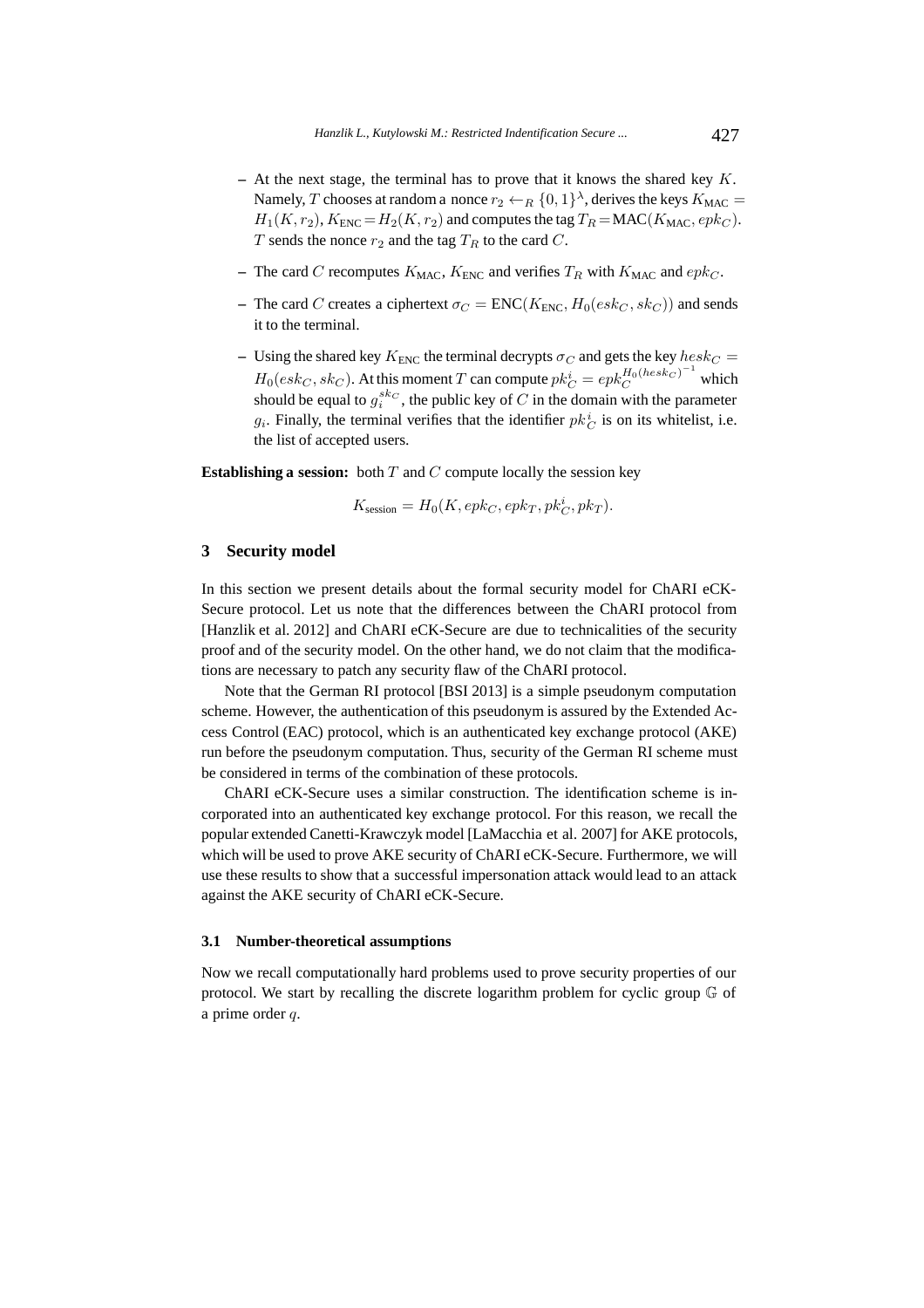- **–** At the next stage, the terminal has to prove that it knows the shared key K. Namely, T chooses at random a nonce  $r_2 \leftarrow_R \{0,1\}^{\lambda}$ , derives the keys  $K_{\text{MAC}} =$  $H_1(K, r_2)$ ,  $K_{\text{ENC}} = H_2(K, r_2)$  and computes the tag  $T_R = \text{MAC}(K_{\text{MAC}}, e p k_C)$ . T sends the nonce  $r_2$  and the tag  $T_R$  to the card C.
- The card C recomputes  $K_{\text{MAC}}$ ,  $K_{\text{ENC}}$  and verifies  $T_R$  with  $K_{\text{MAC}}$  and  $epk_C$ .
- **–** The card C creates a ciphertext  $\sigma_C = \text{ENC}(K_{\text{ENC}}, H_0(esk_C, sk_C))$  and sends it to the terminal.
- Using the shared key  $K_{\text{ENC}}$  the terminal decrypts  $\sigma_C$  and gets the key  $hesk_C =$  $H_0(esk_C, sk_C)$ . At this moment  $T$  can compute  $pk_C^i = epk_C^{H_0(hesk_C)^{-1}}$  which should be equal to  $g_i^{sk_C}$ , the public key of C in the domain with the parameter  $g_i$ . Finally, the terminal verifies that the identifier  $pk_C^i$  is on its whitelist, i.e. the list of accepted users.

**Establishing a session:** both  $T$  and  $C$  compute locally the session key

$$
K_{\text{session}} = H_0(K, epk_C, epk_T, pk_C^i, pk_T).
$$

# **3 Security model**

In this section we present details about the formal security model for ChARI eCK-Secure protocol. Let us note that the differences between the ChARI protocol from [Hanzlik et al. 2012] and ChARI eCK-Secure are due to technicalities of the security proof and of the security model. On the other hand, we do not claim that the modifications are necessary to patch any security flaw of the ChARI protocol.

Note that the German RI protocol [BSI 2013] is a simple pseudonym computation scheme. However, the authentication of this pseudonym is assured by the Extended Access Control (EAC) protocol, which is an authenticated key exchange protocol (AKE) run before the pseudonym computation. Thus, security of the German RI scheme must be considered in terms of the combination of these protocols.

ChARI eCK-Secure uses a similar construction. The identification scheme is incorporated into an authenticated key exchange protocol. For this reason, we recall the popular extended Canetti-Krawczyk model [LaMacchia et al. 2007] for AKE protocols, which will be used to prove AKE security of ChARI eCK-Secure. Furthermore, we will use these results to show that a successful impersonation attack would lead to an attack against the AKE security of ChARI eCK-Secure.

#### **3.1 Number-theoretical assumptions**

Now we recall computationally hard problems used to prove security properties of our protocol. We start by recalling the discrete logarithm problem for cyclic group G of a prime order q.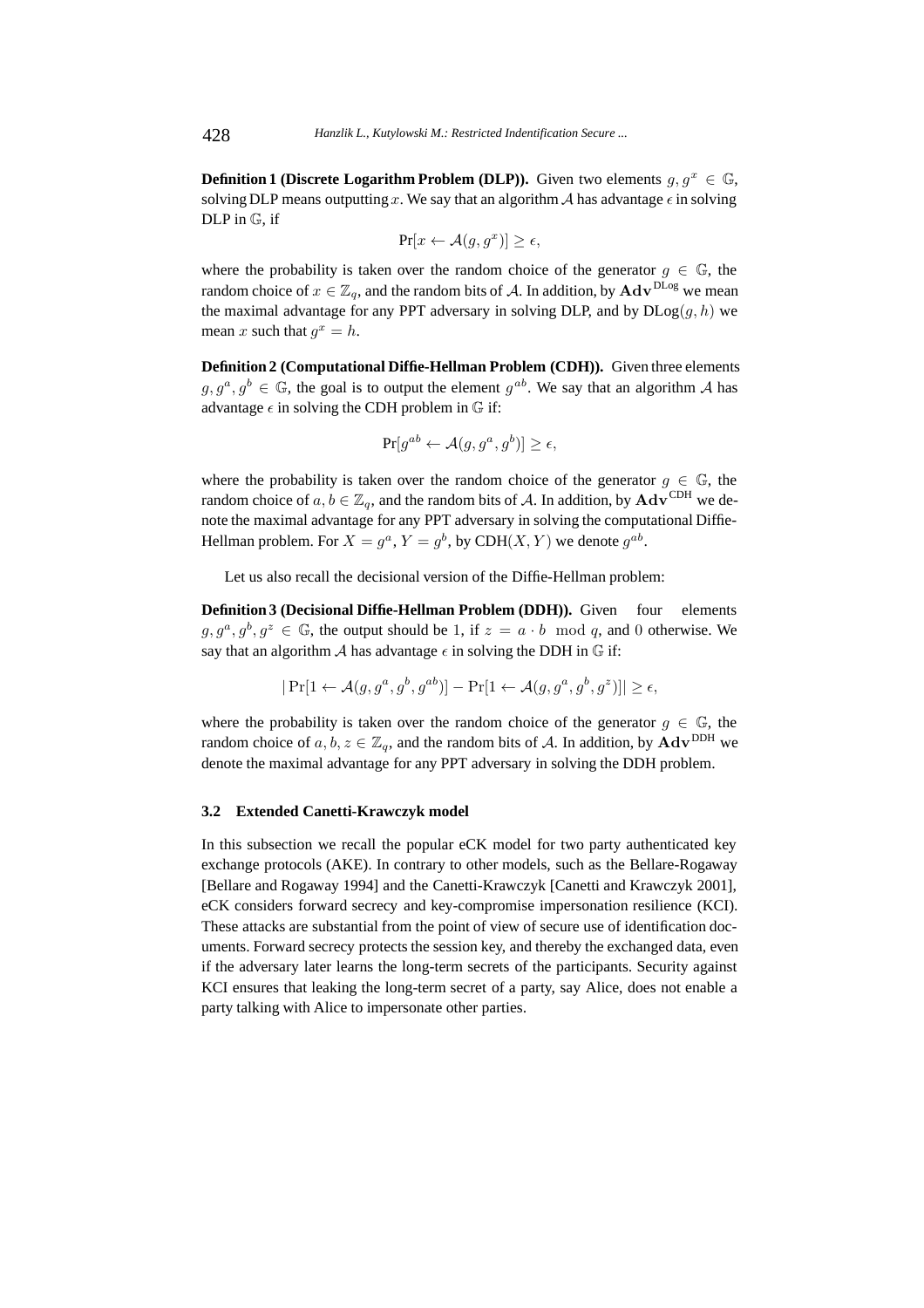**Definition 1 (Discrete Logarithm Problem (DLP)).** Given two elements  $g, g^x \in \mathbb{G}$ , solving DLP means outputting x. We say that an algorithm A has advantage  $\epsilon$  in solving DLP in G, if

$$
\Pr[x \leftarrow \mathcal{A}(g, g^x)] \ge \epsilon,
$$

where the probability is taken over the random choice of the generator  $q \in \mathbb{G}$ , the random choice of  $x \in \mathbb{Z}_q$ , and the random bits of A. In addition, by  $\text{Adv}^{\text{DLog}}$  we mean the maximal advantage for any PPT adversary in solving DLP, and by  $D\text{Log}(g, h)$  we mean x such that  $q^x = h$ .

**Definition 2 (Computational Diffie-Hellman Problem (CDH)).** Given three elements  $g, g^a, g^b \in \mathbb{G}$ , the goal is to output the element  $g^{ab}$ . We say that an algorithm A has advantage  $\epsilon$  in solving the CDH problem in  $\mathbb G$  if:

$$
\Pr[g^{ab} \leftarrow \mathcal{A}(g, g^a, g^b)] \ge \epsilon,
$$

where the probability is taken over the random choice of the generator  $g \in \mathbb{G}$ , the random choice of  $a, b \in \mathbb{Z}_q$ , and the random bits of A. In addition, by  $\mathbf{Adv}^{\text{CDH}}$  we denote the maximal advantage for any PPT adversary in solving the computational Diffie-Hellman problem. For  $X = q^a$ ,  $Y = q^b$ , by CDH(X, Y) we denote  $q^{ab}$ .

Let us also recall the decisional version of the Diffie-Hellman problem:

**Definition 3 (Decisional Diffie-Hellman Problem (DDH)).** Given four elements  $g, g^a, g^b, g^z \in \mathbb{G}$ , the output should be 1, if  $z = a \cdot b \mod q$ , and 0 otherwise. We say that an algorithm A has advantage  $\epsilon$  in solving the DDH in  $\mathbb G$  if:

$$
|\Pr[1 \leftarrow \mathcal{A}(g, g^a, g^b, g^{ab})] - \Pr[1 \leftarrow \mathcal{A}(g, g^a, g^b, g^z)]| \ge \epsilon,
$$

where the probability is taken over the random choice of the generator  $g \in \mathbb{G}$ , the random choice of  $a, b, z \in \mathbb{Z}_q$ , and the random bits of A. In addition, by  $\mathbf{Adv}^{\mathrm{DDH}}$  we denote the maximal advantage for any PPT adversary in solving the DDH problem.

#### **3.2 Extended Canetti-Krawczyk model**

In this subsection we recall the popular eCK model for two party authenticated key exchange protocols (AKE). In contrary to other models, such as the Bellare-Rogaway [Bellare and Rogaway 1994] and the Canetti-Krawczyk [Canetti and Krawczyk 2001], eCK considers forward secrecy and key-compromise impersonation resilience (KCI). These attacks are substantial from the point of view of secure use of identification documents. Forward secrecy protects the session key, and thereby the exchanged data, even if the adversary later learns the long-term secrets of the participants. Security against KCI ensures that leaking the long-term secret of a party, say Alice, does not enable a party talking with Alice to impersonate other parties.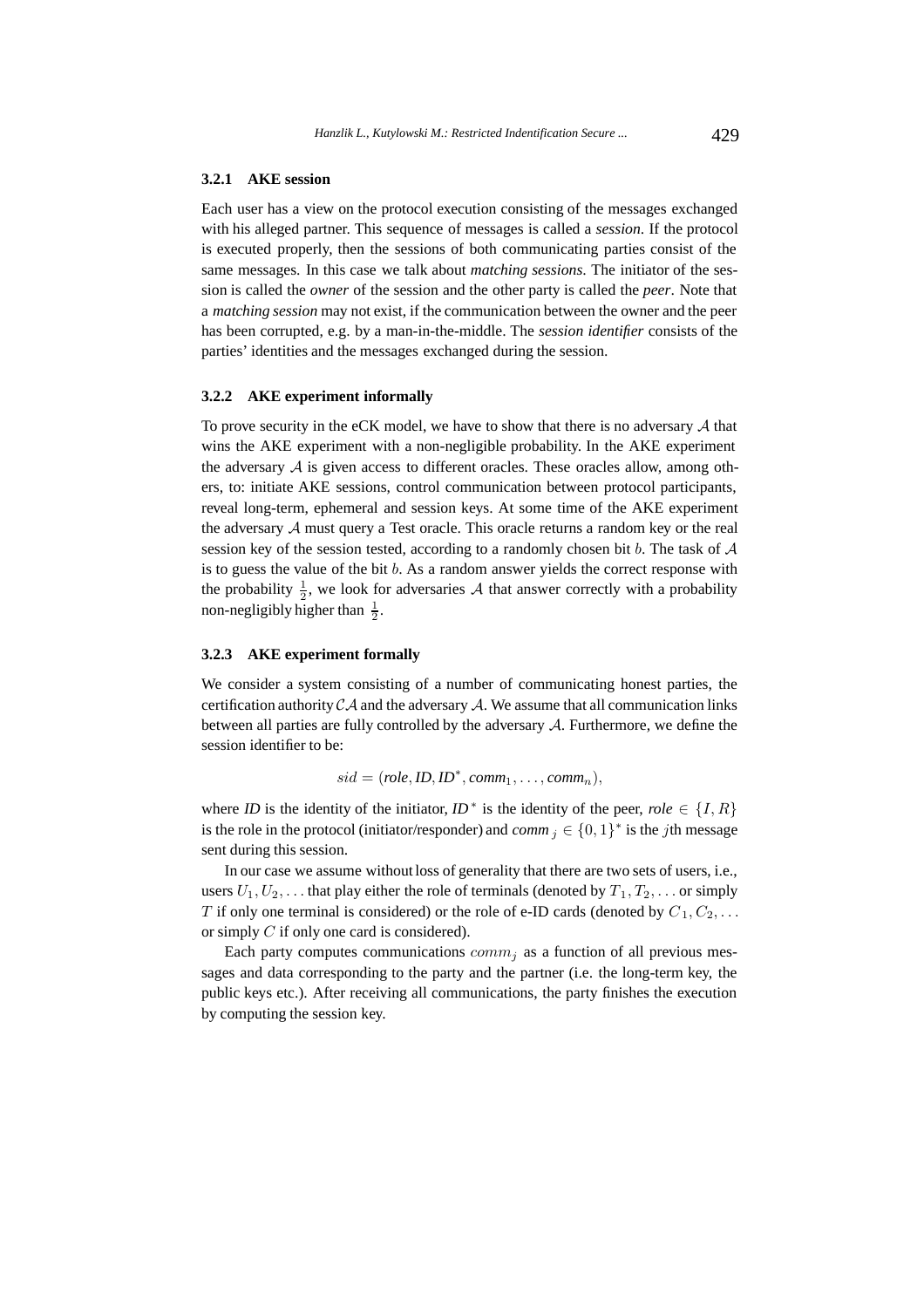# **3.2.1 AKE session**

Each user has a view on the protocol execution consisting of the messages exchanged with his alleged partner. This sequence of messages is called a *session*. If the protocol is executed properly, then the sessions of both communicating parties consist of the same messages. In this case we talk about *matching sessions*. The initiator of the session is called the *owner* of the session and the other party is called the *peer*. Note that a *matching session* may not exist, if the communication between the owner and the peer has been corrupted, e.g. by a man-in-the-middle. The *session identifier* consists of the parties' identities and the messages exchanged during the session.

#### **3.2.2 AKE experiment informally**

To prove security in the eCK model, we have to show that there is no adversary  $A$  that wins the AKE experiment with a non-negligible probability. In the AKE experiment the adversary  $A$  is given access to different oracles. These oracles allow, among others, to: initiate AKE sessions, control communication between protocol participants, reveal long-term, ephemeral and session keys. At some time of the AKE experiment the adversary A must query a Test oracle. This oracle returns a random key or the real session key of the session tested, according to a randomly chosen bit b. The task of  $A$ is to guess the value of the bit b. As a random answer yields the correct response with the probability  $\frac{1}{2}$ , we look for adversaries A that answer correctly with a probability non-negligibly higher than  $\frac{1}{2}$ .

# **3.2.3 AKE experiment formally**

We consider a system consisting of a number of communicating honest parties, the certification authority  $CA$  and the adversary  $A$ . We assume that all communication links between all parties are fully controlled by the adversary A. Furthermore, we define the session identifier to be:

$$
sid = (role, ID, ID^*, comm_1, \ldots, comm_n),
$$

where *ID* is the identity of the initiator,  $ID^*$  is the identity of the peer, *role* ∈ {*I*, *R*} is the role in the protocol (initiator/responder) and *comm*  $i \in \{0, 1\}^*$  is the *j*th message sent during this session.

In our case we assume without loss of generality that there are two sets of users, i.e., users  $U_1, U_2, \ldots$  that play either the role of terminals (denoted by  $T_1, T_2, \ldots$  or simply T if only one terminal is considered) or the role of e-ID cards (denoted by  $C_1, C_2, \ldots$ or simply C if only one card is considered).

Each party computes communications  $comm_i$  as a function of all previous messages and data corresponding to the party and the partner (i.e. the long-term key, the public keys etc.). After receiving all communications, the party finishes the execution by computing the session key.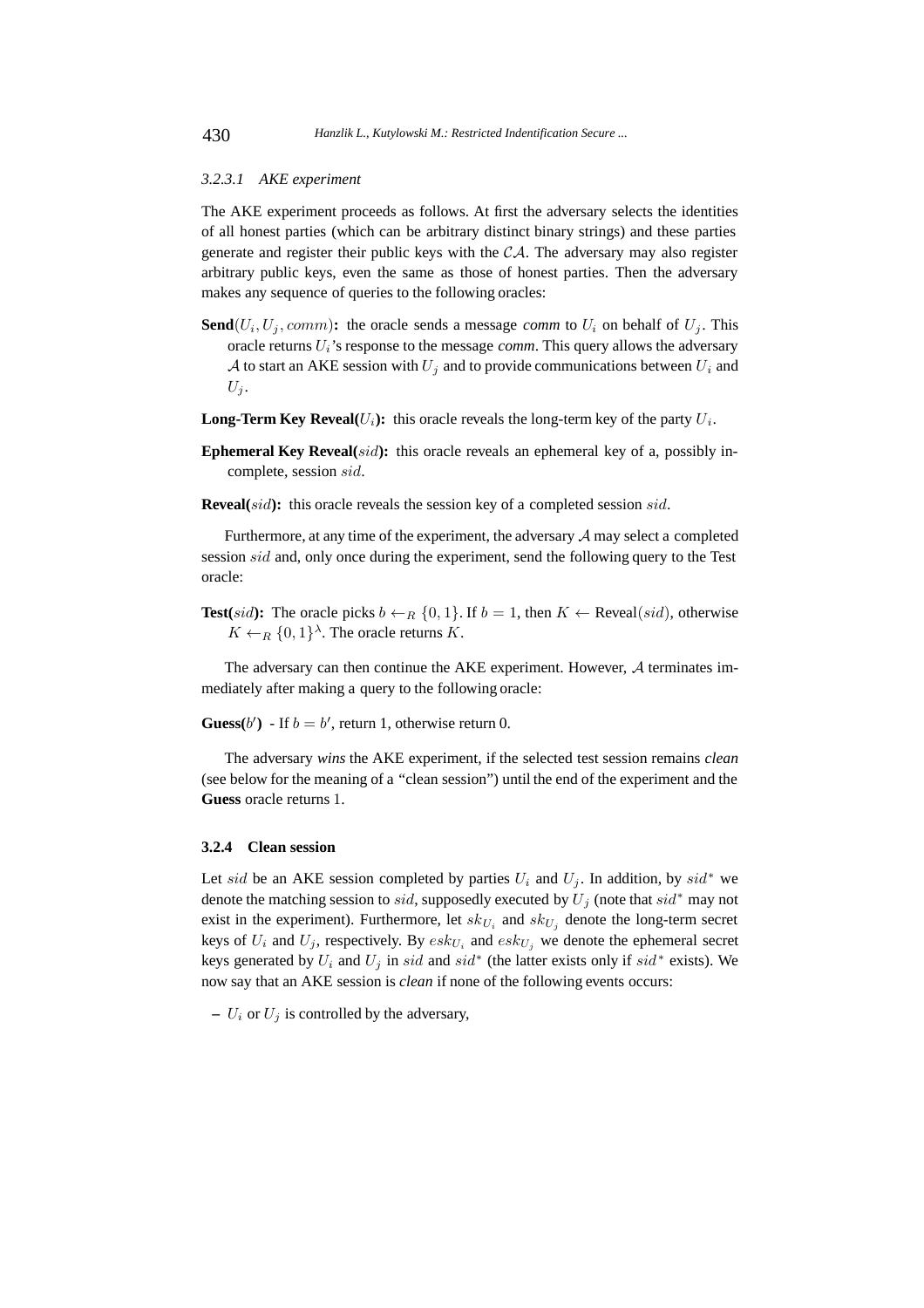#### *3.2.3.1 AKE experiment*

The AKE experiment proceeds as follows. At first the adversary selects the identities of all honest parties (which can be arbitrary distinct binary strings) and these parties generate and register their public keys with the  $\mathcal{CA}$ . The adversary may also register arbitrary public keys, even the same as those of honest parties. Then the adversary makes any sequence of queries to the following oracles:

- **Send**( $U_i, U_j, comm$ ): the oracle sends a message *comm* to  $U_i$  on behalf of  $U_j$ . This oracle returns  $U_i$ 's response to the message *comm*. This query allows the adversary A to start an AKE session with  $U_i$  and to provide communications between  $U_i$  and  $U_i$ .
- **Long-Term Key Reveal(** $U_i$ **):** this oracle reveals the long-term key of the party  $U_i$ .
- **Ephemeral Key Reveal(sid):** this oracle reveals an ephemeral key of a, possibly incomplete, session sid.
- **Reveal**(sid): this oracle reveals the session key of a completed session sid.

Furthermore, at any time of the experiment, the adversary  $A$  may select a completed session *sid* and, only once during the experiment, send the following query to the Test oracle:

**Test**(*sid*): The oracle picks  $b \leftarrow_R \{0, 1\}$ . If  $b = 1$ , then  $K \leftarrow$  Reveal(*sid*), otherwise  $K \leftarrow_R \{0,1\}^{\lambda}$ . The oracle returns K.

The adversary can then continue the AKE experiment. However,  $A$  terminates immediately after making a query to the following oracle:

**Guess**(b') - If  $b = b'$ , return 1, otherwise return 0.

The adversary *wins* the AKE experiment, if the selected test session remains *clean* (see below for the meaning of a "clean session") until the end of the experiment and the **Guess** oracle returns 1.

# **3.2.4 Clean session**

Let sid be an AKE session completed by parties  $U_i$  and  $U_j$ . In addition, by sid<sup>\*</sup> we denote the matching session to *sid*, supposedly executed by  $U_j$  (note that  $sid^*$  may not exist in the experiment). Furthermore, let  $sk_{U_i}$  and  $sk_{U_j}$  denote the long-term secret keys of  $U_i$  and  $U_j$ , respectively. By  $esk_{U_i}$  and  $esk_{U_j}$  we denote the ephemeral secret keys generated by  $U_i$  and  $U_j$  in sid and sid<sup>\*</sup> (the latter exists only if sid<sup>\*</sup> exists). We now say that an AKE session is *clean* if none of the following events occurs:

 $- U_i$  or  $U_j$  is controlled by the adversary,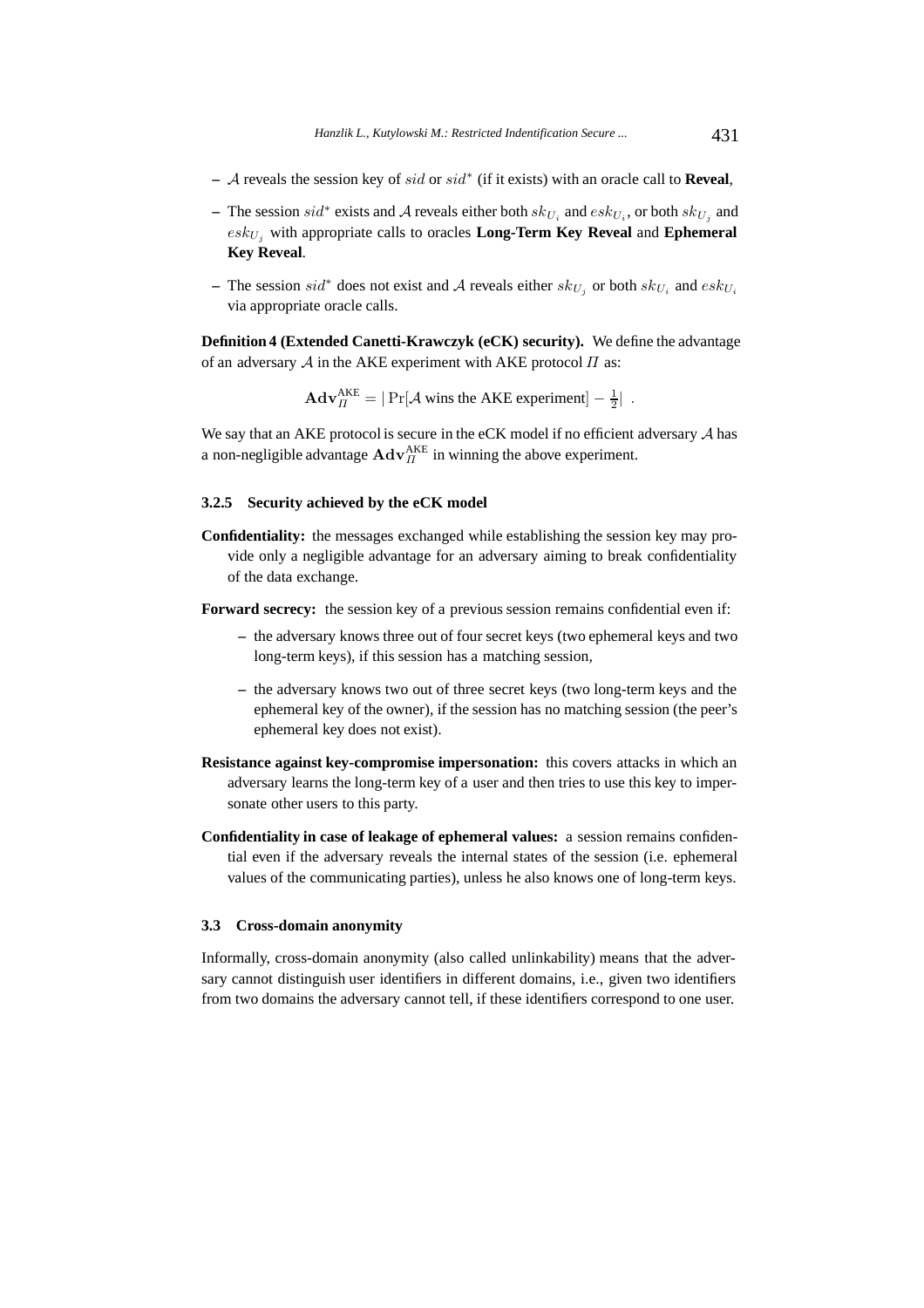- **–** A reveals the session key of sid or sid<sup>∗</sup> (if it exists) with an oracle call to **Reveal**,
- $−$  The session *sid*<sup>\*</sup> exists and *A* reveals either both  $sk_{U_i}$  and  $esk_{U_i}$ , or both  $sk_{U_i}$  and  $esk_{U_i}$  with appropriate calls to oracles **Long-Term Key Reveal** and **Ephemeral Key Reveal**.
- $\overline{P}$  − The session *sid*<sup>\*</sup> does not exist and *A* reveals either *sk<sub>U<sub>i</sub>*</sub> or both *sk<sub>U<sub>i</sub>*</sub> and *esk<sub>U<sub>i</sub></sub>* via appropriate oracle calls.

**Definition 4 (Extended Canetti-Krawczyk (eCK) security).** We define the advantage of an adversary  $A$  in the AKE experiment with AKE protocol  $\Pi$  as:

 $\mathbf{Adv}_{\Pi}^{\text{AKE}} = |\Pr[\mathcal{A} \text{ wins the AKE experiment}] - \frac{1}{2} |$ .

We say that an AKE protocol is secure in the eCK model if no efficient adversary  $A$  has a non-negligible advantage  $\mathbf{Adv}_{\Pi}^{\text{AKE}}$  in winning the above experiment.

# **3.2.5 Security achieved by the eCK model**

**Confidentiality:** the messages exchanged while establishing the session key may provide only a negligible advantage for an adversary aiming to break confidentiality of the data exchange.

**Forward secrecy:** the session key of a previous session remains confidential even if:

- **–** the adversary knows three out of four secret keys (two ephemeral keys and two long-term keys), if this session has a matching session,
- **–** the adversary knows two out of three secret keys (two long-term keys and the ephemeral key of the owner), if the session has no matching session (the peer's ephemeral key does not exist).
- **Resistance against key-compromise impersonation:** this covers attacks in which an adversary learns the long-term key of a user and then tries to use this key to impersonate other users to this party.
- **Confidentiality in case of leakage of ephemeral values:** a session remains confidential even if the adversary reveals the internal states of the session (i.e. ephemeral values of the communicating parties), unless he also knows one of long-term keys.

# **3.3 Cross-domain anonymity**

Informally, cross-domain anonymity (also called unlinkability) means that the adversary cannot distinguish user identifiers in different domains, i.e., given two identifiers from two domains the adversary cannot tell, if these identifiers correspond to one user.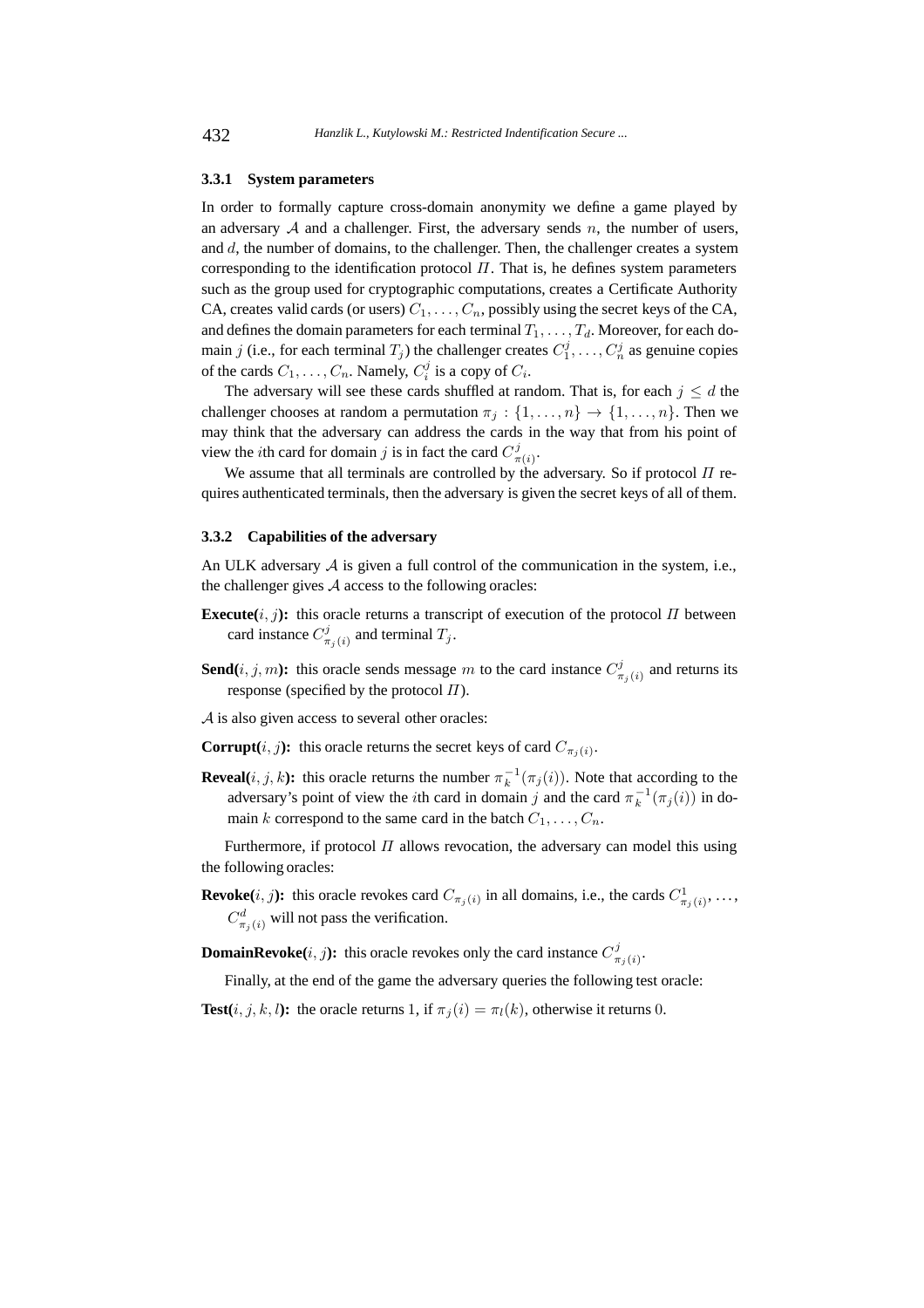#### **3.3.1 System parameters**

In order to formally capture cross-domain anonymity we define a game played by an adversary  $A$  and a challenger. First, the adversary sends  $n$ , the number of users, and  $d$ , the number of domains, to the challenger. Then, the challenger creates a system corresponding to the identification protocol  $\Pi$ . That is, he defines system parameters such as the group used for cryptographic computations, creates a Certificate Authority CA, creates valid cards (or users)  $C_1, \ldots, C_n$ , possibly using the secret keys of the CA, and defines the domain parameters for each terminal  $T_1, \ldots, T_d$ . Moreover, for each domain j (i.e., for each terminal  $T_j$ ) the challenger creates  $C_1^j, \ldots, C_n^j$  as genuine copies of the cards  $C_1, \ldots, C_n$ . Namely,  $C_i^j$  is a copy of  $C_i$ .

The adversary will see these cards shuffled at random. That is, for each  $j \leq d$  the challenger chooses at random a permutation  $\pi_j : \{1, \ldots, n\} \rightarrow \{1, \ldots, n\}$ . Then we may think that the adversary can address the cards in the way that from his point of view the *i*th card for domain *j* is in fact the card  $C_{\pi(i)}^j$ .

We assume that all terminals are controlled by the adversary. So if protocol  $\Pi$  requires authenticated terminals, then the adversary is given the secret keys of all of them.

#### **3.3.2 Capabilities of the adversary**

An ULK adversary  $A$  is given a full control of the communication in the system, i.e., the challenger gives  $A$  access to the following oracles:

- **Execute** $(i, j)$ : this oracle returns a transcript of execution of the protocol  $\Pi$  between card instance  $C_{\pi_j(i)}^j$  and terminal  $T_j$ .
- **Send**(*i*, *j*, *m*): this oracle sends message *m* to the card instance  $C^j_{\pi_j(i)}$  and returns its response (specified by the protocol  $\Pi$ ).
- A is also given access to several other oracles:
- **Corrupt** $(i, j)$ : this oracle returns the secret keys of card  $C_{\pi_i(i)}$ .
- **Reveal** $(i, j, k)$ : this oracle returns the number  $\pi_k^{-1}(\pi_j(i))$ . Note that according to the adversary's point of view the *i*th card in domain j and the card  $\pi_k^{-1}(\pi_j(i))$  in domain k correspond to the same card in the batch  $C_1, \ldots, C_n$ .

Furthermore, if protocol  $\Pi$  allows revocation, the adversary can model this using the following oracles:

- **Revoke**(*i*, *j*): this oracle revokes card  $C_{\pi_j(i)}$  in all domains, i.e., the cards  $C^1_{\pi_j(i)}, \ldots$ ,  $C_{\pi_j(i)}^d$  will not pass the verification.
- **DomainRevoke**(*i*, *j*): this oracle revokes only the card instance  $C_{\pi_j(i)}^j$ .

Finally, at the end of the game the adversary queries the following test oracle:

**Test** $(i, j, k, l)$ : the oracle returns 1, if  $\pi_j(i) = \pi_l(k)$ , otherwise it returns 0.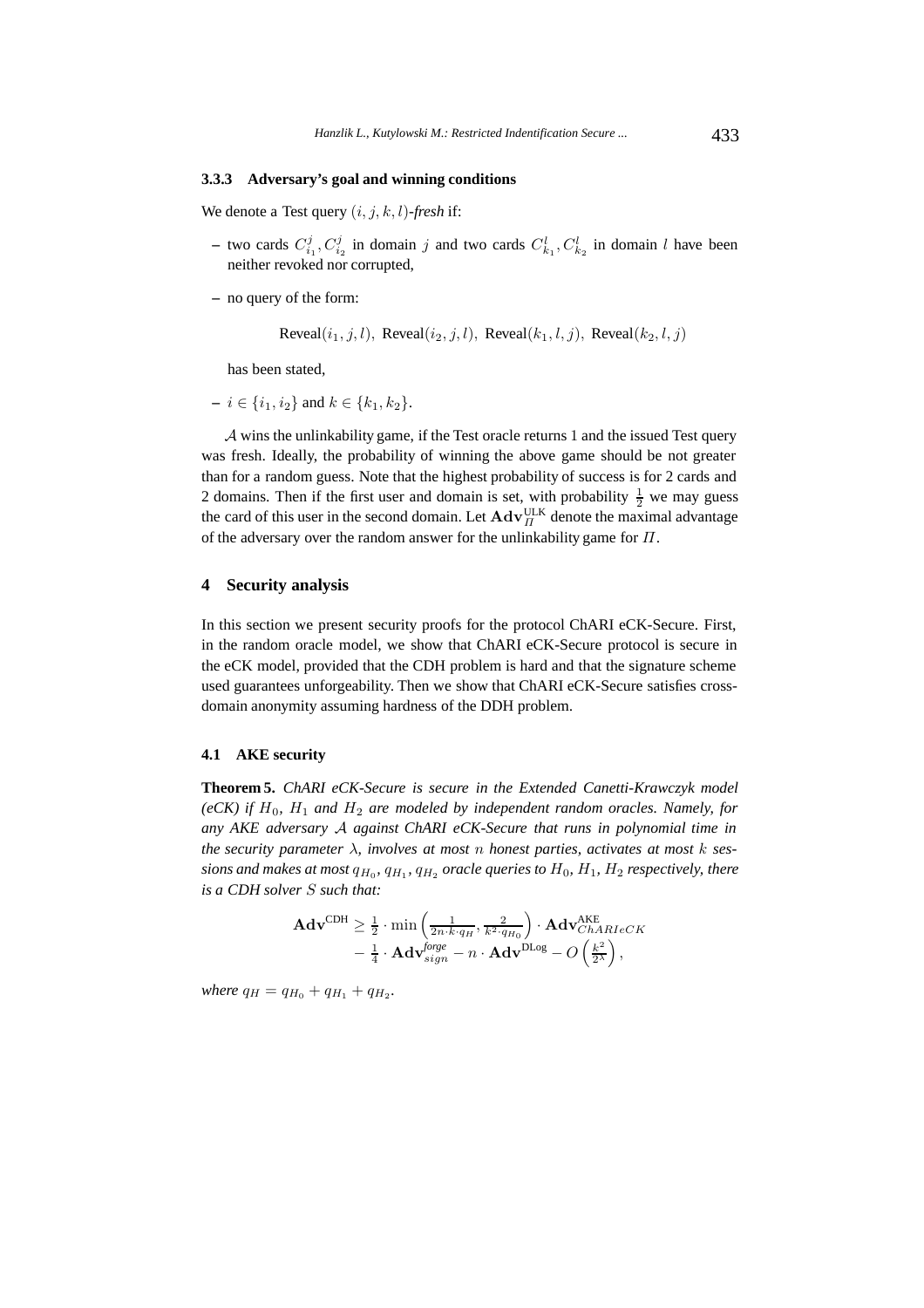# **3.3.3 Adversary's goal and winning conditions**

We denote a Test query (i, j, k, l)-*fresh* if:

- two cards  $C_{i_1}^j, C_{i_2}^j$  in domain j and two cards  $C_{k_1}^l, C_{k_2}^l$  in domain l have been neither revoked nor corrupted,
- **–** no query of the form:

Reveal $(i_1, j, l)$ , Reveal $(i_2, j, l)$ , Reveal $(k_1, l, j)$ , Reveal $(k_2, l, j)$ 

has been stated,

 $- i \in \{i_1, i_2\}$  and  $k \in \{k_1, k_2\}.$ 

A wins the unlinkability game, if the Test oracle returns 1 and the issued Test query was fresh. Ideally, the probability of winning the above game should be not greater than for a random guess. Note that the highest probability of success is for 2 cards and 2 domains. Then if the first user and domain is set, with probability  $\frac{1}{2}$  we may guess the card of this user in the second domain. Let  $\mathbf{Adv}_{\Pi}^{\text{ULK}}$  denote the maximal advantage of the adversary over the random answer for the unlinkability game for  $\Pi$ .

# **4 Security analysis**

In this section we present security proofs for the protocol ChARI eCK-Secure. First, in the random oracle model, we show that ChARI eCK-Secure protocol is secure in the eCK model, provided that the CDH problem is hard and that the signature scheme used guarantees unforgeability. Then we show that ChARI eCK-Secure satisfies crossdomain anonymity assuming hardness of the DDH problem.

# **4.1 AKE security**

**Theorem 5.** *ChARI eCK-Secure is secure in the Extended Canetti-Krawczyk model (eCK)* if  $H_0$ ,  $H_1$  *and*  $H_2$  *are modeled by independent random oracles. Namely, for any AKE adversary* A *against ChARI eCK-Secure that runs in polynomial time in the security parameter* λ*, involves at most* n *honest parties, activates at most* k *sessions and makes at most*  $q_{H_0}$ ,  $q_{H_1}$ ,  $q_{H_2}$  *oracle queries to*  $H_0$ ,  $H_1$ ,  $H_2$  *respectively, there is a CDH solver* S *such that:*

$$
\mathbf{Adv}^{\mathrm{CDH}} \geq \frac{1}{2} \cdot \min \left( \frac{1}{2n \cdot k \cdot q_H}, \frac{2}{k^2 \cdot q_{H_0}} \right) \cdot \mathbf{Adv}_{ChARIeCK}^{\mathrm{AKE}} - \frac{1}{4} \cdot \mathbf{Adv}_{sign}^{\mathrm{large}} - n \cdot \mathbf{Adv}_{bQ}^{\mathrm{DLog}} - O\left(\frac{k^2}{2\lambda}\right),
$$

*where*  $q_H = q_{H_0} + q_{H_1} + q_{H_2}$ *.*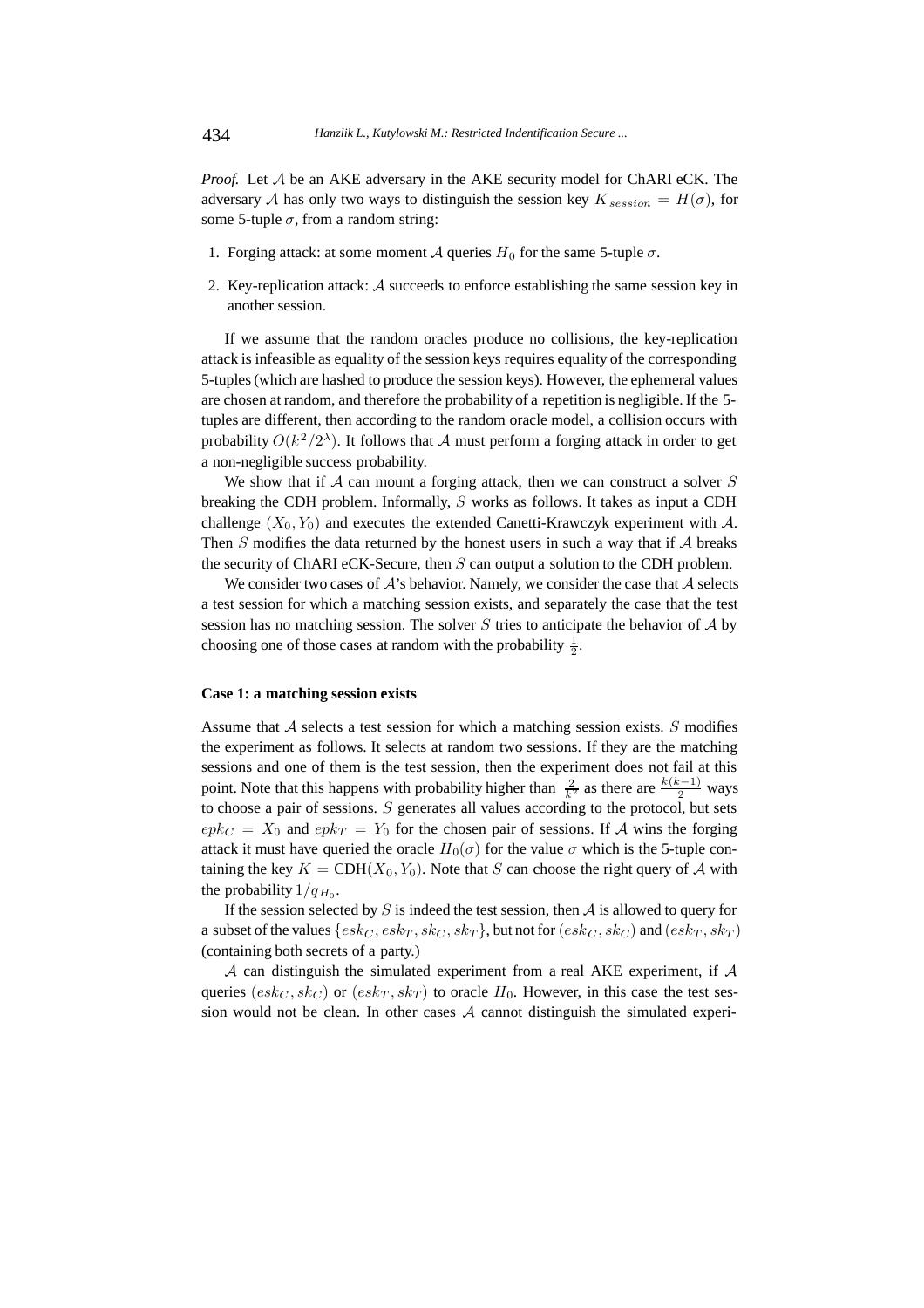*Proof.* Let A be an AKE adversary in the AKE security model for ChARI eCK. The adversary A has only two ways to distinguish the session key  $K_{session} = H(\sigma)$ , for some 5-tuple  $\sigma$ , from a random string:

- 1. Forging attack: at some moment A queries  $H_0$  for the same 5-tuple  $\sigma$ .
- 2. Key-replication attack: A succeeds to enforce establishing the same session key in another session.

If we assume that the random oracles produce no collisions, the key-replication attack is infeasible as equality of the session keys requires equality of the corresponding 5-tuples (which are hashed to produce the session keys). However, the ephemeral values are chosen at random, and therefore the probability of a repetition is negligible. If the 5 tuples are different, then according to the random oracle model, a collision occurs with probability  $O(k^2/2^{\lambda})$ . It follows that A must perform a forging attack in order to get a non-negligible success probability.

We show that if  $A$  can mount a forging attack, then we can construct a solver  $S$ breaking the CDH problem. Informally, S works as follows. It takes as input a CDH challenge  $(X_0, Y_0)$  and executes the extended Canetti-Krawczyk experiment with A. Then  $S$  modifies the data returned by the honest users in such a way that if  $A$  breaks the security of ChARI eCK-Secure, then S can output a solution to the CDH problem.

We consider two cases of  $A$ 's behavior. Namely, we consider the case that  $A$  selects a test session for which a matching session exists, and separately the case that the test session has no matching session. The solver  $S$  tries to anticipate the behavior of  $A$  by choosing one of those cases at random with the probability  $\frac{1}{2}$ .

#### **Case 1: a matching session exists**

Assume that  $A$  selects a test session for which a matching session exists.  $S$  modifies the experiment as follows. It selects at random two sessions. If they are the matching sessions and one of them is the test session, then the experiment does not fail at this point. Note that this happens with probability higher than  $\frac{2}{k^2}$  as there are  $\frac{k(k-1)}{2}$  ways to choose a pair of sessions. S generates all values according to the protocol, but sets  $epk<sub>C</sub> = X<sub>0</sub>$  and  $epk<sub>T</sub> = Y<sub>0</sub>$  for the chosen pair of sessions. If A wins the forging attack it must have queried the oracle  $H_0(\sigma)$  for the value  $\sigma$  which is the 5-tuple containing the key  $K = \text{CDH}(X_0, Y_0)$ . Note that S can choose the right query of A with the probability  $1/q_{H_0}$ .

If the session selected by S is indeed the test session, then  $A$  is allowed to query for a subset of the values  $\{esk_C, esk_T, sk_C, sk_T\}$ , but not for  $(esk_C, sk_C)$  and  $(esk_T, sk_T)$ (containing both secrets of a party.)

A can distinguish the simulated experiment from a real AKE experiment, if  $\mathcal A$ queries  $(esk_C, sk_C)$  or  $(esk_T, sk_T)$  to oracle  $H_0$ . However, in this case the test session would not be clean. In other cases  $A$  cannot distinguish the simulated experi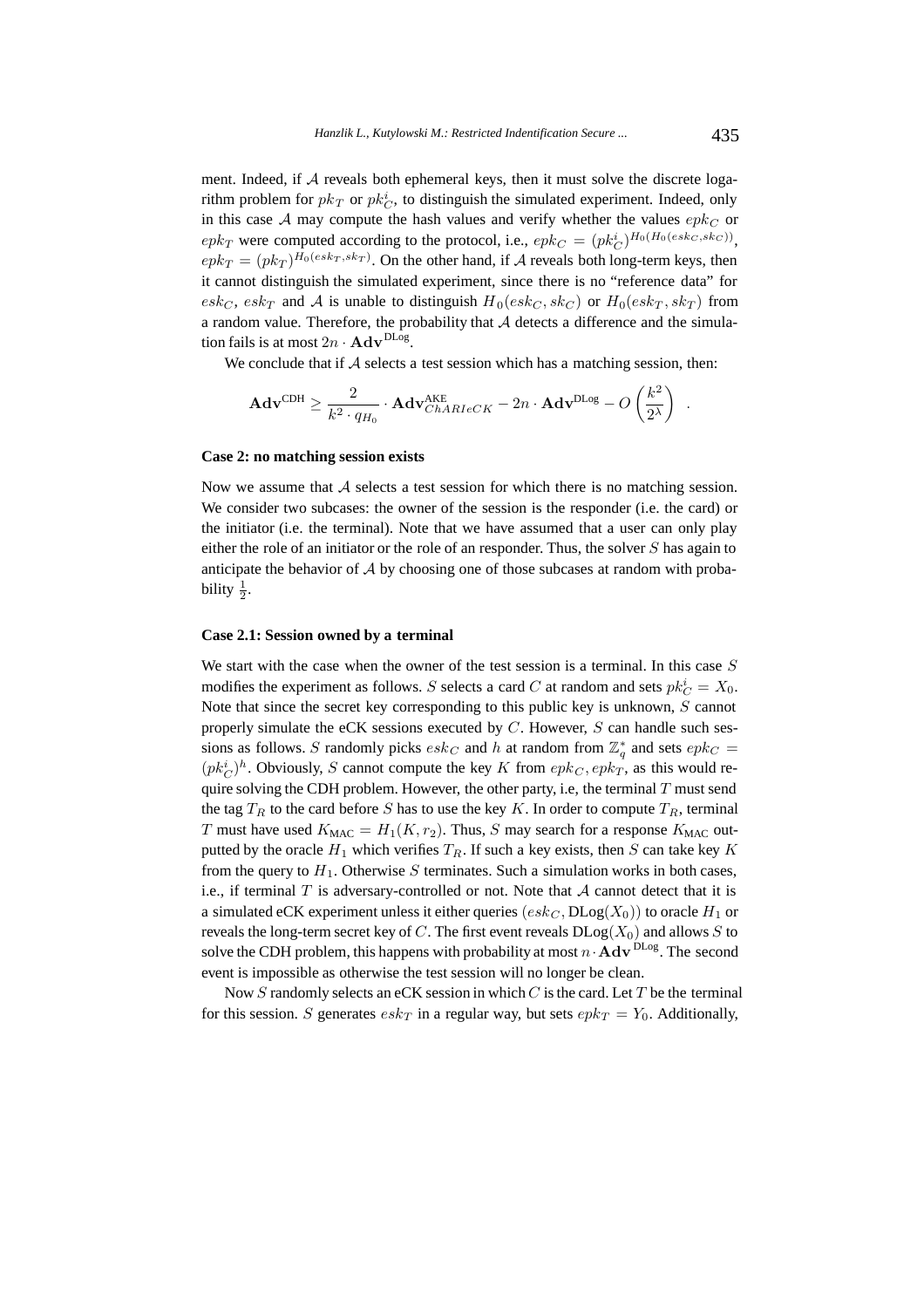ment. Indeed, if A reveals both ephemeral keys, then it must solve the discrete logarithm problem for  $pk_T$  or  $pk_C^i$ , to distinguish the simulated experiment. Indeed, only in this case A may compute the hash values and verify whether the values  $epk<sub>C</sub>$  or  $epk_T$  were computed according to the protocol, i.e.,  $epk_C = (pk_C^i)^{H_0(H_0(esk_C, sk_C))}$ ,  $epk_T = (pk_T)^{H_0(esk_T, sk_T)}$ . On the other hand, if A reveals both long-term keys, then it cannot distinguish the simulated experiment, since there is no "reference data" for  $esk_C, esk_T$  and A is unable to distinguish  $H_0(esk_C, sk_C)$  or  $H_0(esk_T, sk_T)$  from a random value. Therefore, the probability that  $A$  detects a difference and the simulation fails is at most  $2n \cdot \mathbf{Adv}^{\text{DLog}}$ .

We conclude that if  $A$  selects a test session which has a matching session, then:

$$
\mathbf{Adv}^{\text{CDH}} \geq \frac{2}{k^2 \cdot q_{H_0}} \cdot \mathbf{Adv}_{\mathit{ChARIeCK}}^{\text{AKE}} - 2n \cdot \mathbf{Adv}^{\text{DLog}} - O\left(\frac{k^2}{2^\lambda}\right) \enspace .
$$

#### **Case 2: no matching session exists**

Now we assume that  $A$  selects a test session for which there is no matching session. We consider two subcases: the owner of the session is the responder (i.e. the card) or the initiator (i.e. the terminal). Note that we have assumed that a user can only play either the role of an initiator or the role of an responder. Thus, the solver S has again to anticipate the behavior of A by choosing one of those subcases at random with probability  $\frac{1}{2}$ .

#### **Case 2.1: Session owned by a terminal**

We start with the case when the owner of the test session is a terminal. In this case S modifies the experiment as follows. S selects a card C at random and sets  $pk_C^i = X_0$ . Note that since the secret key corresponding to this public key is unknown,  $S$  cannot properly simulate the eCK sessions executed by  $C$ . However,  $S$  can handle such sessions as follows. S randomly picks  $\emph{esk}_C$  and h at random from  $\mathbb{Z}_q^*$  and sets  $\emph{epk}_C$  =  $(pk_C^i)^h$ . Obviously, S cannot compute the key K from  $epk_C, epk_T$ , as this would require solving the CDH problem. However, the other party, i.e, the terminal  $T$  must send the tag  $T_R$  to the card before S has to use the key K. In order to compute  $T_R$ , terminal T must have used  $K_{\text{MAC}} = H_1(K, r_2)$ . Thus, S may search for a response  $K_{\text{MAC}}$  outputted by the oracle  $H_1$  which verifies  $T_R$ . If such a key exists, then S can take key K from the query to  $H_1$ . Otherwise S terminates. Such a simulation works in both cases, i.e., if terminal  $T$  is adversary-controlled or not. Note that  $A$  cannot detect that it is a simulated eCK experiment unless it either queries  $(esk_C, DLog(X_0))$  to oracle  $H_1$  or reveals the long-term secret key of C. The first event reveals  $DLog(X_0)$  and allows S to solve the CDH problem, this happens with probability at most  $n \cdot \mathbf{Adv}^{\text{DLog}}$ . The second event is impossible as otherwise the test session will no longer be clean.

Now  $S$  randomly selects an eCK session in which  $C$  is the card. Let  $T$  be the terminal for this session. S generates  $\emph{esk}_T$  in a regular way, but sets  $\emph{epk}_T = Y_0$ . Additionally,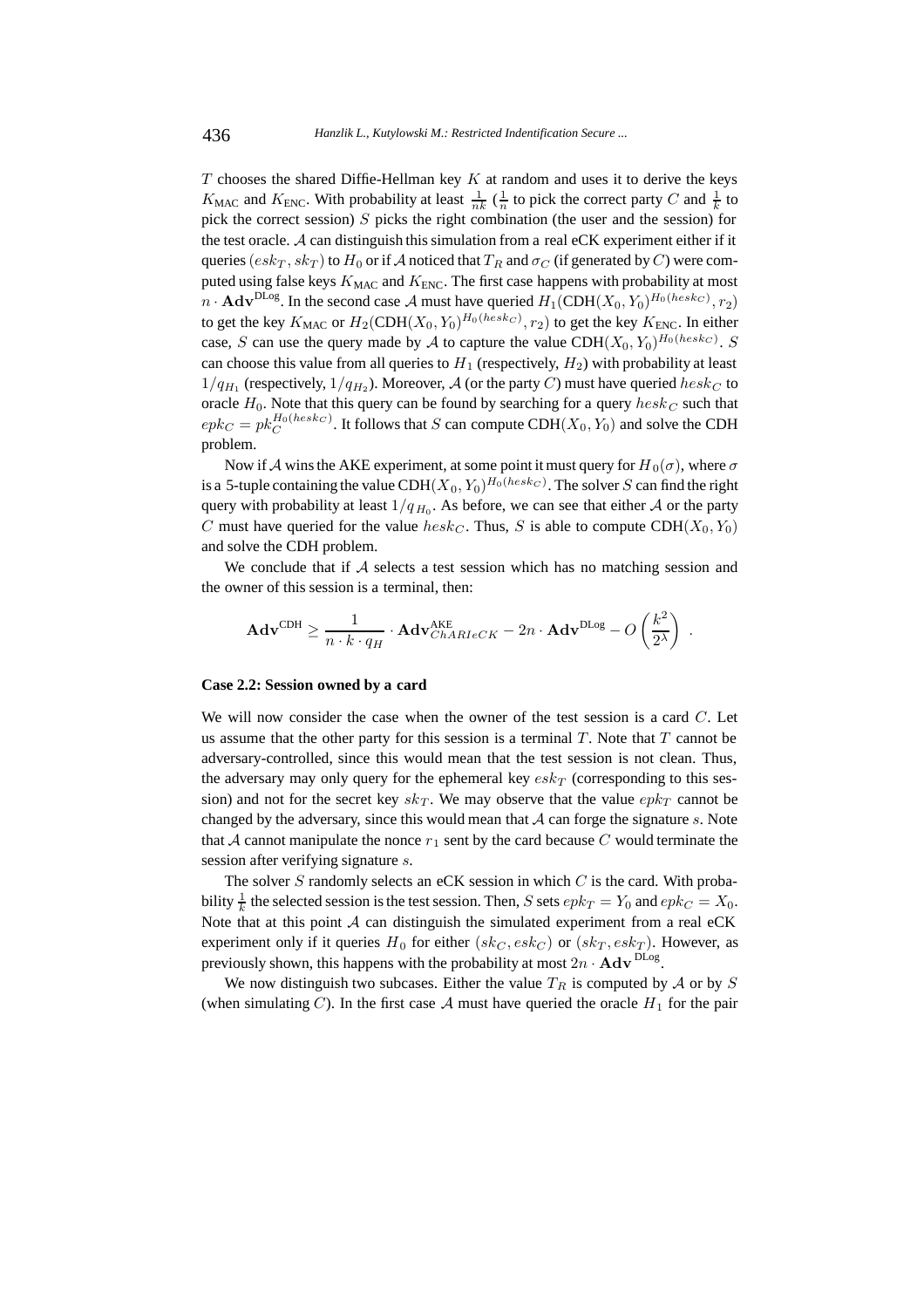$T$  chooses the shared Diffie-Hellman key  $K$  at random and uses it to derive the keys  $K_{\text{MAC}}$  and  $K_{\text{ENC}}$ . With probability at least  $\frac{1}{nk}$  ( $\frac{1}{n}$  to pick the correct party C and  $\frac{1}{k}$  to pick the correct session)  $S$  picks the right combination (the user and the session) for the test oracle. A can distinguish this simulation from a real eCK experiment either if it queries ( $esk_T$ ,  $sk_T$ ) to  $H_0$  or if A noticed that  $T_R$  and  $\sigma_C$  (if generated by C) were computed using false keys  $K_{\text{MAC}}$  and  $K_{\text{ENC}}$ . The first case happens with probability at most  $n \cdot \mathbf{Adv}^{\text{DLog}}$ . In the second case A must have queried  $H_1(\text{CDH}(X_0, Y_0)^{H_0(heskc)}, r_2)$ to get the key  $K_{\text{MAC}}$  or  $H_2(\text{CDH}(X_0, Y_0)^{H_0(heskc)}$ ,  $r_2)$  to get the key  $K_{\text{ENC}}$ . In either case, S can use the query made by A to capture the value  $CDH(X_0, Y_0)^{H_0(hesk_C)}$ . S can choose this value from all queries to  $H_1$  (respectively,  $H_2$ ) with probability at least  $1/q_{H_1}$  (respectively,  $1/q_{H_2}$ ). Moreover, A (or the party C) must have queried  $hesk_C$  to oracle  $H_0$ . Note that this query can be found by searching for a query  $hesk_C$  such that  $epk_C = pk_C^{H_0(heskc)}$ . It follows that S can compute CDH( $X_0, Y_0$ ) and solve the CDH problem.

Now if A wins the AKE experiment, at some point it must query for  $H_0(\sigma)$ , where  $\sigma$ is a 5-tuple containing the value  $\mathrm{CDH}(X_0, Y_0)^{H_0(hesk_C)}$ . The solver  $S$  can find the right query with probability at least  $1/q_{H_0}$ . As before, we can see that either A or the party C must have queried for the value  $hesk_C$ . Thus, S is able to compute CDH( $X_0, Y_0$ ) and solve the CDH problem.

We conclude that if  $A$  selects a test session which has no matching session and the owner of this session is a terminal, then:

$$
\mathbf{Adv}^{\text{CDH}} \geq \frac{1}{n \cdot k \cdot q_H} \cdot \mathbf{Adv}_{ChARIeCK}^{\text{AKE}} - 2n \cdot \mathbf{Adv}^{\text{DLog}} - O\left(\frac{k^2}{2^{\lambda}}\right) \; .
$$

#### **Case 2.2: Session owned by a card**

We will now consider the case when the owner of the test session is a card  $C$ . Let us assume that the other party for this session is a terminal  $T$ . Note that  $T$  cannot be adversary-controlled, since this would mean that the test session is not clean. Thus, the adversary may only query for the ephemeral key  $\epsilon$ sk<sub>T</sub> (corresponding to this session) and not for the secret key  $sk_T$ . We may observe that the value  $epk_T$  cannot be changed by the adversary, since this would mean that  $A$  can forge the signature s. Note that A cannot manipulate the nonce  $r_1$  sent by the card because C would terminate the session after verifying signature s.

The solver  $S$  randomly selects an eCK session in which  $C$  is the card. With probability  $\frac{1}{k}$  the selected session is the test session. Then, S sets  $epk_T = Y_0$  and  $epk_C = X_0$ . Note that at this point  $A$  can distinguish the simulated experiment from a real eCK experiment only if it queries  $H_0$  for either (sk<sub>C</sub>, esk<sub>C</sub>) or (sk<sub>T</sub>, esk<sub>T</sub>). However, as previously shown, this happens with the probability at most  $2n \cdot \mathbf{Adv}^{\text{DLog}}$ .

We now distinguish two subcases. Either the value  $T_R$  is computed by  $A$  or by  $S$ (when simulating C). In the first case A must have queried the oracle  $H_1$  for the pair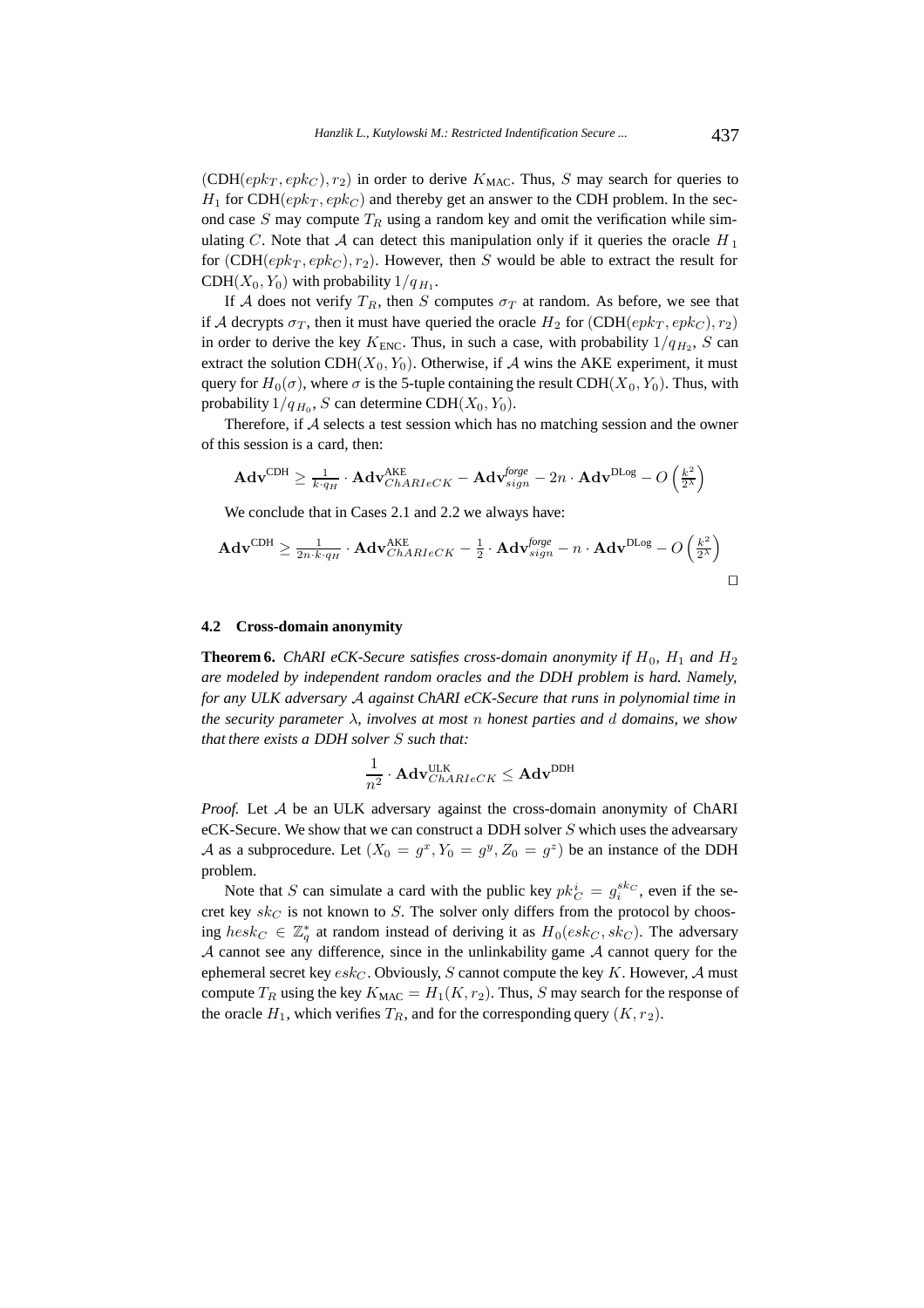$(CDH(epk_T, epk_C), r_2)$  in order to derive  $K_{MAC}$ . Thus, S may search for queries to  $H_1$  for CDH( $epk_T, epk_C$ ) and thereby get an answer to the CDH problem. In the second case  $S$  may compute  $T_R$  using a random key and omit the verification while simulating C. Note that A can detect this manipulation only if it queries the oracle  $H_1$ for  $(CDH(epk_T, epk_C), r_2)$ . However, then S would be able to extract the result for CDH( $X_0, Y_0$ ) with probability  $1/q_{H_1}$ .

If A does not verify  $T_R$ , then S computes  $\sigma_T$  at random. As before, we see that if A decrypts  $\sigma_T$ , then it must have queried the oracle  $H_2$  for  $(CDH(epk_T, epk_C), r_2)$ in order to derive the key  $K_{\text{ENC}}$ . Thus, in such a case, with probability  $1/q_{H_2}$ , S can extract the solution CDH( $X_0, Y_0$ ). Otherwise, if A wins the AKE experiment, it must query for  $H_0(\sigma)$ , where  $\sigma$  is the 5-tuple containing the result CDH( $X_0, Y_0$ ). Thus, with probability  $1/q_{H_0}$ , S can determine CDH( $X_0, Y_0$ ).

Therefore, if A selects a test session which has no matching session and the owner of this session is a card, then:

$$
\mathbf{Adv}^{\mathrm{CDH}} \geq \tfrac{1}{k \cdot q_H} \cdot \mathbf{Adv}_{ChARIeCK}^{\mathrm{AKE}} - \mathbf{Adv}_{sign}^{\mathrm{large}} - 2n \cdot \mathbf{Adv}^{\mathrm{DLog}} - O\left(\tfrac{k^2}{2^\lambda}\right)
$$

We conclude that in Cases 2.1 and 2.2 we always have:

$$
\mathbf{Adv}^{\mathrm{CDH}} \ge \frac{1}{2n \cdot k \cdot q_H} \cdot \mathbf{Adv}_{ChARIeCK}^{\mathrm{AKE}} - \frac{1}{2} \cdot \mathbf{Adv}_{sign}^{\mathrm{brge}} - n \cdot \mathbf{Adv}^{\mathrm{DLog}} - O\left(\frac{k^2}{2^{\lambda}}\right)
$$

#### **4.2 Cross-domain anonymity**

**Theorem 6.** *ChARI eCK-Secure satisfies cross-domain anonymity if*  $H_0$ ,  $H_1$  *and*  $H_2$ *are modeled by independent random oracles and the DDH problem is hard. Namely, for any ULK adversary* A *against ChARI eCK-Secure that runs in polynomial time in the security parameter* λ*, involves at most* n *honest parties and* d *domains, we show that there exists a DDH solver* S *such that:*

$$
\frac{1}{n^2} \cdot \mathbf{Adv}_{ChARIeCK}^{\sf ULK} \leq \mathbf{Adv}^{\sf DDH}
$$

*Proof.* Let A be an ULK adversary against the cross-domain anonymity of ChARI eCK-Secure. We show that we can construct a DDH solver  $S$  which uses the advearsary A as a subprocedure. Let  $(X_0 = g^x, Y_0 = g^y, Z_0 = g^z)$  be an instance of the DDH problem.

Note that S can simulate a card with the public key  $pk_C^i = g_i^{sk_C}$ , even if the secret key  $sk_C$  is not known to S. The solver only differs from the protocol by choosing  $hesk_C \in \mathbb{Z}_q^*$  at random instead of deriving it as  $H_0(esk_C, sk_C)$ . The adversary  $A$  cannot see any difference, since in the unlinkability game  $A$  cannot query for the ephemeral secret key  $\mathfrak{esk}_C$ . Obviously, S cannot compute the key K. However, A must compute  $T_R$  using the key  $K_{\text{MAC}} = H_1(K, r_2)$ . Thus, S may search for the response of the oracle  $H_1$ , which verifies  $T_R$ , and for the corresponding query  $(K, r_2)$ .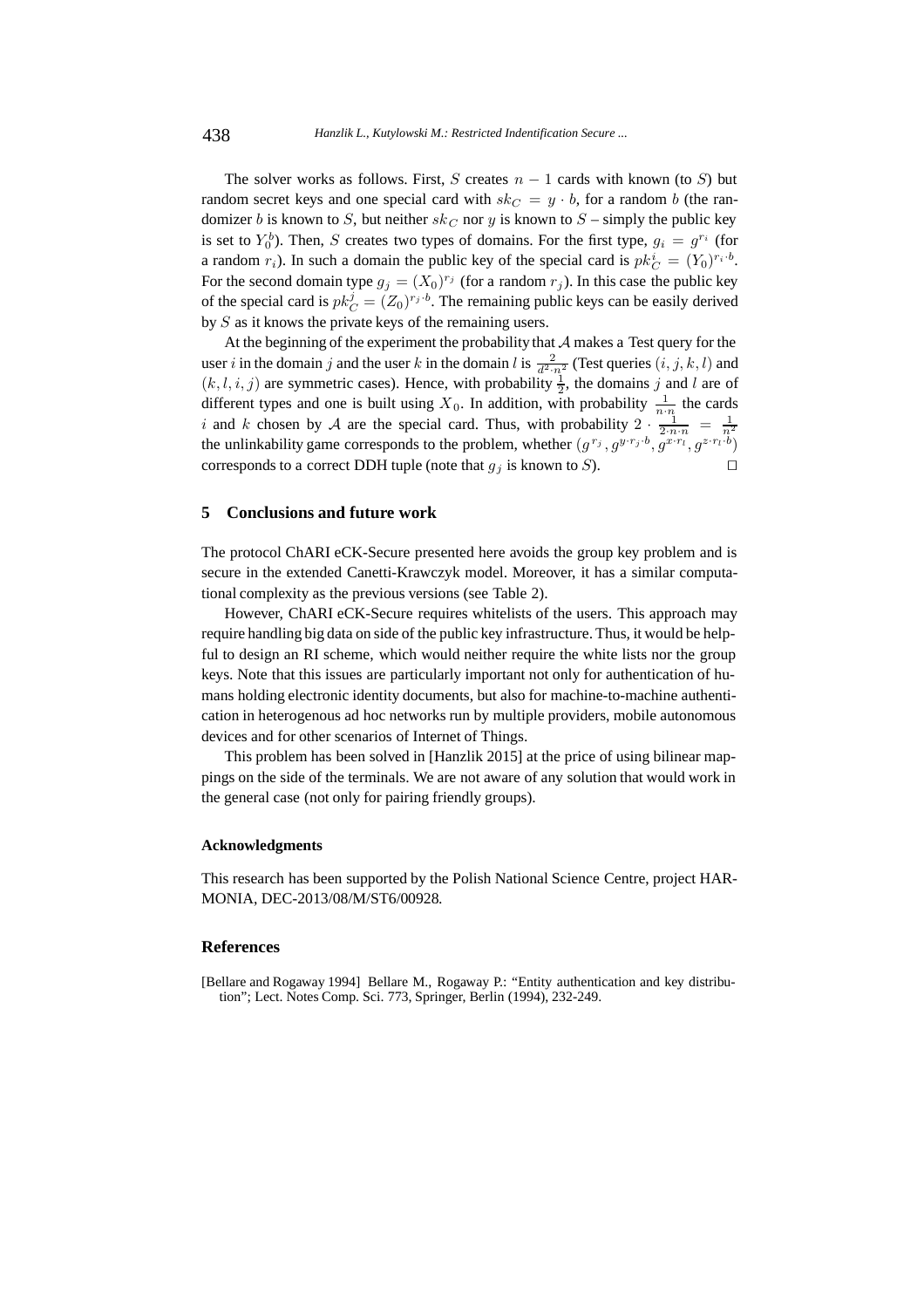The solver works as follows. First, S creates  $n - 1$  cards with known (to S) but random secret keys and one special card with  $sk_C = y \cdot b$ , for a random b (the randomizer b is known to S, but neither  $sk_C$  nor y is known to  $S$  – simply the public key is set to  $Y_0^b$ ). Then, S creates two types of domains. For the first type,  $g_i = g^{r_i}$  (for a random  $r_i$ ). In such a domain the public key of the special card is  $pk_C^i = (Y_0)^{r_i \cdot b}$ . For the second domain type  $g_j = (X_0)^{r_j}$  (for a random  $r_j$ ). In this case the public key of the special card is  $pk_C^j = (Z_0)^{r_j \cdot b}$ . The remaining public keys can be easily derived by S as it knows the private keys of the remaining users.

At the beginning of the experiment the probability that  $A$  makes a Test query for the user i in the domain j and the user k in the domain l is  $\frac{2}{d^2 \cdot n^2}$  (Test queries  $(i, j, k, l)$  and  $(k, l, i, j)$  are symmetric cases). Hence, with probability  $\frac{1}{2}$ , the domains j and l are of different types and one is built using  $X_0$ . In addition, with probability  $\frac{1}{n \cdot n}$  the cards i and k chosen by A are the special card. Thus, with probability  $2 \cdot \frac{1}{2 \cdot n \cdot n} = \frac{1}{n^2}$ <br>the unlinkability game corresponds to the problem, whether  $(g^{r_j}, g^{y \cdot r_j \cdot b}, g^{x \cdot r_l} \cdot g^{z \cdot r_l \cdot b})$ corresponds to a correct DDH tuple (note that  $g_j$  is known to  $S$ ).

#### **5 Conclusions and future work**

The protocol ChARI eCK-Secure presented here avoids the group key problem and is secure in the extended Canetti-Krawczyk model. Moreover, it has a similar computational complexity as the previous versions (see Table 2).

However, ChARI eCK-Secure requires whitelists of the users. This approach may require handling big data on side of the public key infrastructure. Thus, it would be helpful to design an RI scheme, which would neither require the white lists nor the group keys. Note that this issues are particularly important not only for authentication of humans holding electronic identity documents, but also for machine-to-machine authentication in heterogenous ad hoc networks run by multiple providers, mobile autonomous devices and for other scenarios of Internet of Things.

This problem has been solved in [Hanzlik 2015] at the price of using bilinear mappings on the side of the terminals. We are not aware of any solution that would work in the general case (not only for pairing friendly groups).

#### **Acknowledgments**

This research has been supported by the Polish National Science Centre, project HAR-MONIA, DEC-2013/08/M/ST6/00928.

# **References**

[Bellare and Rogaway 1994] Bellare M., Rogaway P.: "Entity authentication and key distribution"; Lect. Notes Comp. Sci. 773, Springer, Berlin (1994), 232-249.